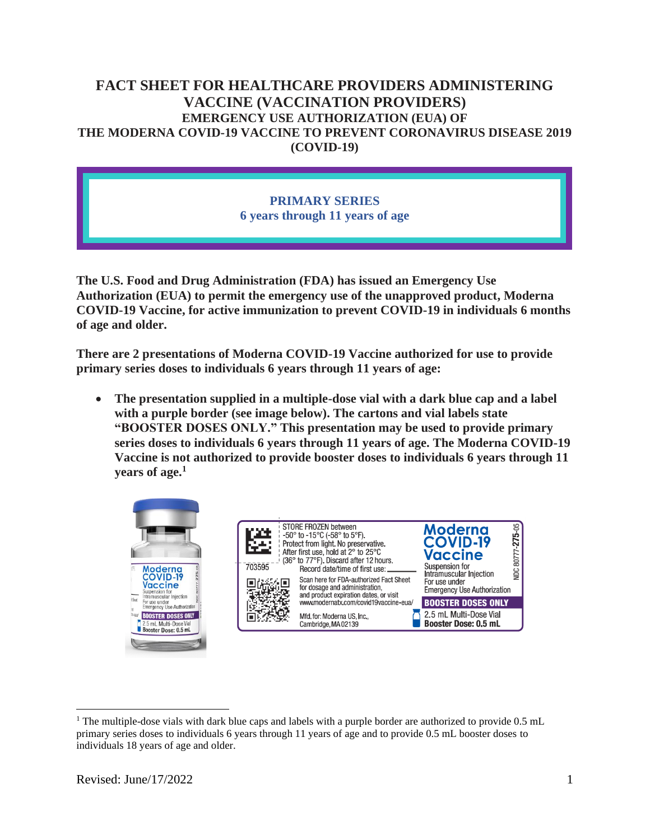# **FACT SHEET FOR HEALTHCARE PROVIDERS ADMINISTERING VACCINE (VACCINATION PROVIDERS) EMERGENCY USE AUTHORIZATION (EUA) OF THE MODERNA COVID-19 VACCINE TO PREVENT CORONAVIRUS DISEASE 2019 (COVID-19)**

### **PRIMARY SERIES 6 years through 11 years of age**

**The U.S. Food and Drug Administration (FDA) has issued an Emergency Use Authorization (EUA) to permit the emergency use of the unapproved product, Moderna COVID-19 Vaccine, for active immunization to prevent COVID-19 in individuals 6 months of age and older.**

**There are 2 presentations of Moderna COVID-19 Vaccine authorized for use to provide primary series doses to individuals 6 years through 11 years of age:** 

• **The presentation supplied in a multiple-dose vial with a dark blue cap and a label with a purple border (see image below). The cartons and vial labels state "BOOSTER DOSES ONLY." This presentation may be used to provide primary series doses to individuals 6 years through 11 years of age. The Moderna COVID-19 Vaccine is not authorized to provide booster doses to individuals 6 years through 11 years of age.<sup>1</sup>**



<sup>&</sup>lt;sup>1</sup> The multiple-dose vials with dark blue caps and labels with a purple border are authorized to provide 0.5 mL primary series doses to individuals 6 years through 11 years of age and to provide 0.5 mL booster doses to individuals 18 years of age and older.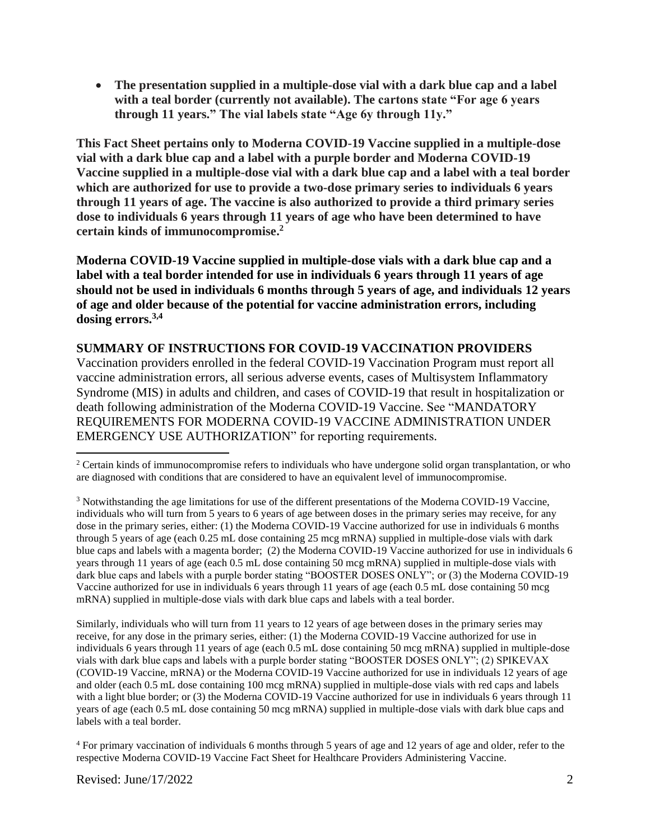• **The presentation supplied in a multiple-dose vial with a dark blue cap and a label with a teal border (currently not available). The cartons state "For age 6 years through 11 years." The vial labels state "Age 6y through 11y."** 

**This Fact Sheet pertains only to Moderna COVID-19 Vaccine supplied in a multiple-dose vial with a dark blue cap and a label with a purple border and Moderna COVID-19 Vaccine supplied in a multiple-dose vial with a dark blue cap and a label with a teal border which are authorized for use to provide a two-dose primary series to individuals 6 years through 11 years of age. The vaccine is also authorized to provide a third primary series dose to individuals 6 years through 11 years of age who have been determined to have certain kinds of immunocompromise. 2**

**Moderna COVID-19 Vaccine supplied in multiple-dose vials with a dark blue cap and a label with a teal border intended for use in individuals 6 years through 11 years of age should not be used in individuals 6 months through 5 years of age, and individuals 12 years of age and older because of the potential for vaccine administration errors, including dosing errors.3,4**

#### **SUMMARY OF INSTRUCTIONS FOR COVID-19 VACCINATION PROVIDERS**

Vaccination providers enrolled in the federal COVID-19 Vaccination Program must report all vaccine administration errors, all serious adverse events, cases of Multisystem Inflammatory Syndrome (MIS) in adults and children, and cases of COVID-19 that result in hospitalization or death following administration of the Moderna COVID-19 Vaccine. See "MANDATORY REQUIREMENTS FOR MODERNA COVID-19 VACCINE ADMINISTRATION UNDER EMERGENCY USE AUTHORIZATION" for reporting requirements.

Similarly, individuals who will turn from 11 years to 12 years of age between doses in the primary series may receive, for any dose in the primary series, either: (1) the Moderna COVID-19 Vaccine authorized for use in individuals 6 years through 11 years of age (each 0.5 mL dose containing 50 mcg mRNA) supplied in multiple-dose vials with dark blue caps and labels with a purple border stating "BOOSTER DOSES ONLY"; (2) SPIKEVAX (COVID-19 Vaccine, mRNA) or the Moderna COVID-19 Vaccine authorized for use in individuals 12 years of age and older (each 0.5 mL dose containing 100 mcg mRNA) supplied in multiple-dose vials with red caps and labels with a light blue border; or (3) the Moderna COVID-19 Vaccine authorized for use in individuals 6 years through 11 years of age (each 0.5 mL dose containing 50 mcg mRNA) supplied in multiple-dose vials with dark blue caps and labels with a teal border.

<sup>4</sup> For primary vaccination of individuals 6 months through 5 years of age and 12 years of age and older, refer to the respective Moderna COVID-19 Vaccine Fact Sheet for Healthcare Providers Administering Vaccine.

<sup>&</sup>lt;sup>2</sup> Certain kinds of immunocompromise refers to individuals who have undergone solid organ transplantation, or who are diagnosed with conditions that are considered to have an equivalent level of immunocompromise.

<sup>&</sup>lt;sup>3</sup> Notwithstanding the age limitations for use of the different presentations of the Moderna COVID-19 Vaccine, individuals who will turn from 5 years to 6 years of age between doses in the primary series may receive, for any dose in the primary series, either: (1) the Moderna COVID-19 Vaccine authorized for use in individuals 6 months through 5 years of age (each 0.25 mL dose containing 25 mcg mRNA) supplied in multiple-dose vials with dark blue caps and labels with a magenta border; (2) the Moderna COVID-19 Vaccine authorized for use in individuals 6 years through 11 years of age (each 0.5 mL dose containing 50 mcg mRNA) supplied in multiple-dose vials with dark blue caps and labels with a purple border stating "BOOSTER DOSES ONLY"; or (3) the Moderna COVID-19 Vaccine authorized for use in individuals 6 years through 11 years of age (each 0.5 mL dose containing 50 mcg mRNA) supplied in multiple-dose vials with dark blue caps and labels with a teal border.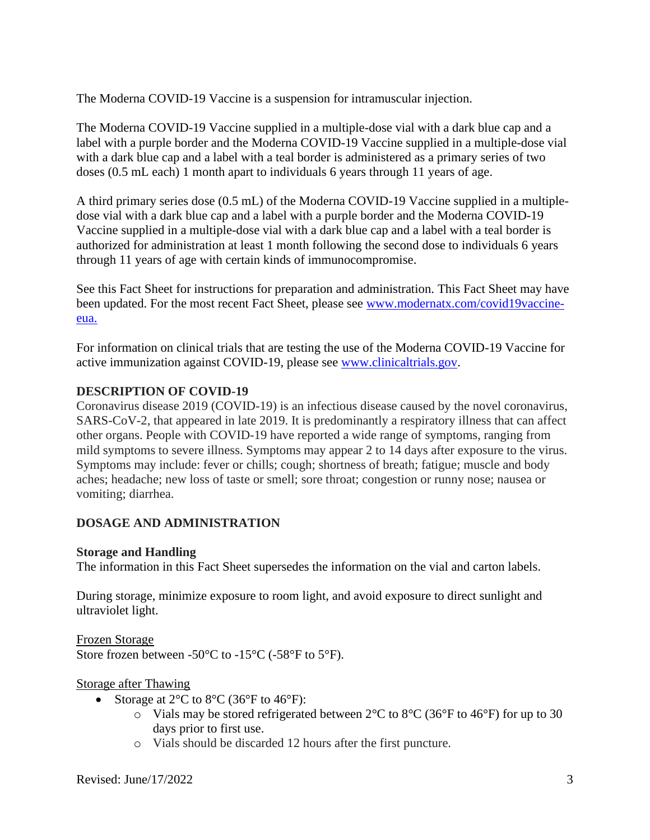The Moderna COVID-19 Vaccine is a suspension for intramuscular injection.

The Moderna COVID-19 Vaccine supplied in a multiple-dose vial with a dark blue cap and a label with a purple border and the Moderna COVID-19 Vaccine supplied in a multiple-dose vial with a dark blue cap and a label with a teal border is administered as a primary series of two doses (0.5 mL each) 1 month apart to individuals 6 years through 11 years of age.

A third primary series dose (0.5 mL) of the Moderna COVID-19 Vaccine supplied in a multipledose vial with a dark blue cap and a label with a purple border and the Moderna COVID-19 Vaccine supplied in a multiple-dose vial with a dark blue cap and a label with a teal border is authorized for administration at least 1 month following the second dose to individuals 6 years through 11 years of age with certain kinds of immunocompromise.

See this Fact Sheet for instructions for preparation and administration. This Fact Sheet may have been updated. For the most recent Fact Sheet, please see www.modernatx.com/covid19vaccineeua.

For information on clinical trials that are testing the use of the Moderna COVID-19 Vaccine for active immunization against COVID-19, please see www.clinicaltrials.gov.

### **DESCRIPTION OF COVID-19**

Coronavirus disease 2019 (COVID-19) is an infectious disease caused by the novel coronavirus, SARS-CoV-2, that appeared in late 2019. It is predominantly a respiratory illness that can affect other organs. People with COVID-19 have reported a wide range of symptoms, ranging from mild symptoms to severe illness. Symptoms may appear 2 to 14 days after exposure to the virus. Symptoms may include: fever or chills; cough; shortness of breath; fatigue; muscle and body aches; headache; new loss of taste or smell; sore throat; congestion or runny nose; nausea or vomiting; diarrhea.

### **DOSAGE AND ADMINISTRATION**

#### **Storage and Handling**

The information in this Fact Sheet supersedes the information on the vial and carton labels.

During storage, minimize exposure to room light, and avoid exposure to direct sunlight and ultraviolet light.

Frozen Storage

Store frozen between -50°C to -15°C (-58°F to 5°F).

#### Storage after Thawing

- Storage at  $2^{\circ}$ C to  $8^{\circ}$ C (36 $^{\circ}$ F to 46 $^{\circ}$ F):
	- $\circ$  Vials may be stored refrigerated between 2°C to 8°C (36°F to 46°F) for up to 30 days prior to first use.
	- o Vials should be discarded 12 hours after the first puncture.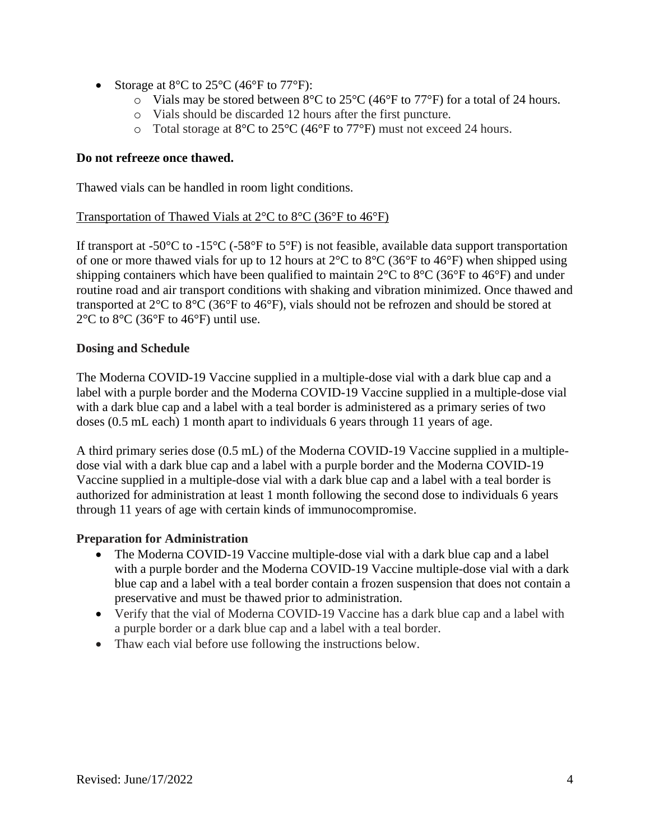- Storage at  $8^{\circ}$ C to  $25^{\circ}$ C (46 $^{\circ}$ F to 77 $^{\circ}$ F):
	- $\circ$  Vials may be stored between 8°C to 25°C (46°F to 77°F) for a total of 24 hours.
	- o Vials should be discarded 12 hours after the first puncture.
	- o Total storage at 8°C to 25°C (46°F to 77°F) must not exceed 24 hours.

#### **Do not refreeze once thawed.**

Thawed vials can be handled in room light conditions.

#### Transportation of Thawed Vials at  $2^{\circ}$ C to  $8^{\circ}$ C (36 $^{\circ}$ F to 46 $^{\circ}$ F)

If transport at -50 $^{\circ}$ C to -15 $^{\circ}$ C (-58 $^{\circ}$ F to 5 $^{\circ}$ F) is not feasible, available data support transportation of one or more thawed vials for up to 12 hours at  $2^{\circ}$ C to  $8^{\circ}$ C (36°F to 46°F) when shipped using shipping containers which have been qualified to maintain  $2^{\circ}$ C to  $8^{\circ}$ C (36°F to 46°F) and under routine road and air transport conditions with shaking and vibration minimized. Once thawed and transported at 2°C to 8°C (36°F to 46°F), vials should not be refrozen and should be stored at  $2^{\circ}$ C to  $8^{\circ}$ C (36 $^{\circ}$ F to 46 $^{\circ}$ F) until use.

#### **Dosing and Schedule**

The Moderna COVID-19 Vaccine supplied in a multiple-dose vial with a dark blue cap and a label with a purple border and the Moderna COVID-19 Vaccine supplied in a multiple-dose vial with a dark blue cap and a label with a teal border is administered as a primary series of two doses (0.5 mL each) 1 month apart to individuals 6 years through 11 years of age.

A third primary series dose (0.5 mL) of the Moderna COVID-19 Vaccine supplied in a multipledose vial with a dark blue cap and a label with a purple border and the Moderna COVID-19 Vaccine supplied in a multiple-dose vial with a dark blue cap and a label with a teal border is authorized for administration at least 1 month following the second dose to individuals 6 years through 11 years of age with certain kinds of immunocompromise.

### **Preparation for Administration**

- The Moderna COVID-19 Vaccine multiple-dose vial with a dark blue cap and a label with a purple border and the Moderna COVID-19 Vaccine multiple-dose vial with a dark blue cap and a label with a teal border contain a frozen suspension that does not contain a preservative and must be thawed prior to administration.
- Verify that the vial of Moderna COVID-19 Vaccine has a dark blue cap and a label with a purple border or a dark blue cap and a label with a teal border.
- Thaw each vial before use following the instructions below.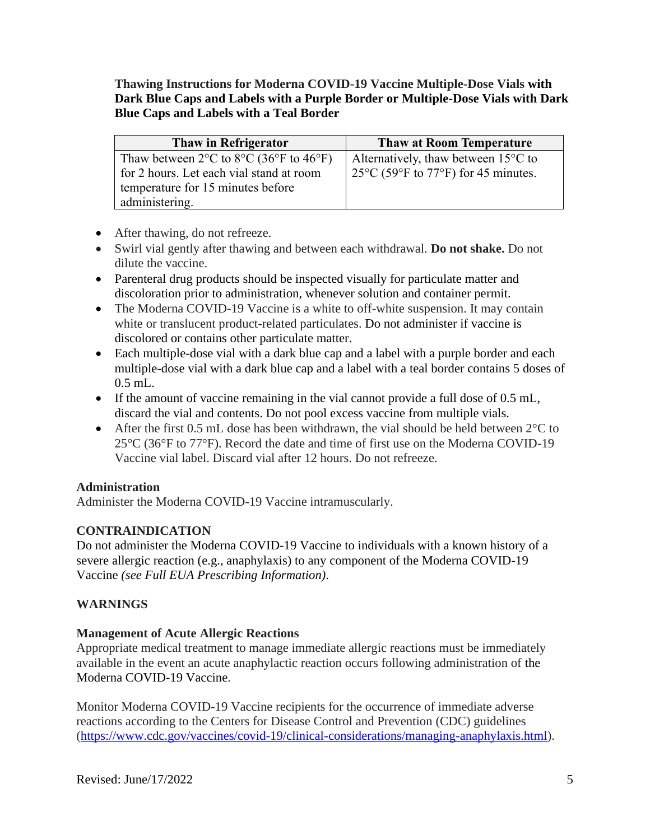**Thawing Instructions for Moderna COVID-19 Vaccine Multiple-Dose Vials with Dark Blue Caps and Labels with a Purple Border or Multiple-Dose Vials with Dark Blue Caps and Labels with a Teal Border**

| Thaw in Refrigerator                                                             | <b>Thaw at Room Temperature</b>                |
|----------------------------------------------------------------------------------|------------------------------------------------|
| Thaw between $2^{\circ}$ C to $8^{\circ}$ C (36 $^{\circ}$ F to 46 $^{\circ}$ F) | Alternatively, thaw between $15^{\circ}$ C to  |
| for 2 hours. Let each vial stand at room                                         | $125^{\circ}$ C (59°F to 77°F) for 45 minutes. |
| temperature for 15 minutes before                                                |                                                |
| administering.                                                                   |                                                |

- After thawing, do not refreeze.
- Swirl vial gently after thawing and between each withdrawal. **Do not shake.** Do not dilute the vaccine.
- Parenteral drug products should be inspected visually for particulate matter and discoloration prior to administration, whenever solution and container permit.
- The Moderna COVID-19 Vaccine is a white to off-white suspension. It may contain white or translucent product-related particulates. Do not administer if vaccine is discolored or contains other particulate matter.
- Each multiple-dose vial with a dark blue cap and a label with a purple border and each multiple-dose vial with a dark blue cap and a label with a teal border contains 5 doses of 0.5 mL.
- If the amount of vaccine remaining in the vial cannot provide a full dose of 0.5 mL, discard the vial and contents. Do not pool excess vaccine from multiple vials.
- After the first 0.5 mL dose has been withdrawn, the vial should be held between  $2^{\circ}C$  to 25°C (36°F to 77°F). Record the date and time of first use on the Moderna COVID-19 Vaccine vial label. Discard vial after 12 hours. Do not refreeze.

### **Administration**

Administer the Moderna COVID-19 Vaccine intramuscularly.

# **CONTRAINDICATION**

Do not administer the Moderna COVID-19 Vaccine to individuals with a known history of a severe allergic reaction (e.g., anaphylaxis) to any component of the Moderna COVID-19 Vaccine *(see Full EUA Prescribing Information)*.

# **WARNINGS**

### **Management of Acute Allergic Reactions**

Appropriate medical treatment to manage immediate allergic reactions must be immediately available in the event an acute anaphylactic reaction occurs following administration of the Moderna COVID-19 Vaccine.

Monitor Moderna COVID-19 Vaccine recipients for the occurrence of immediate adverse reactions according to the Centers for Disease Control and Prevention (CDC) guidelines (https://www.cdc.gov/vaccines/covid-19/clinical-considerations/managing-anaphylaxis.html).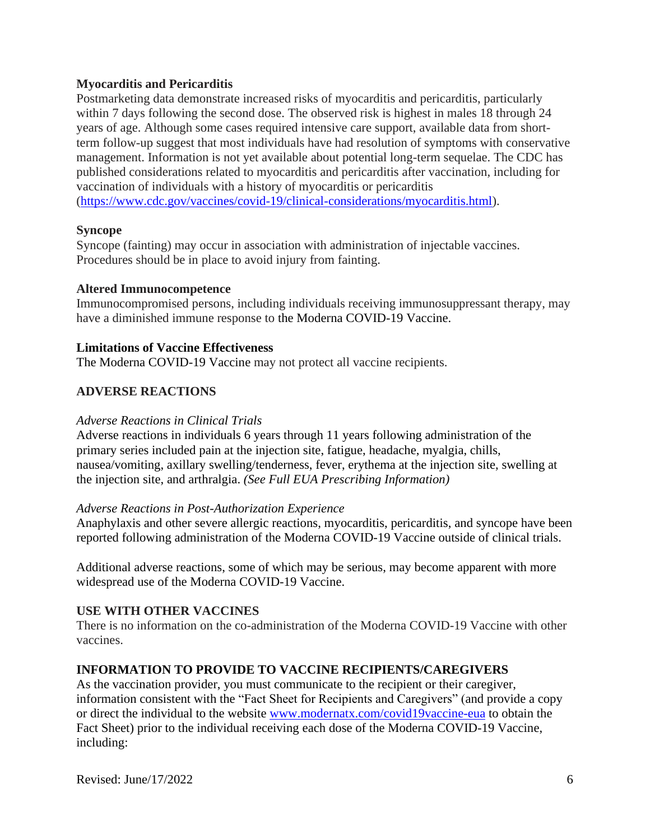#### **Myocarditis and Pericarditis**

Postmarketing data demonstrate increased risks of myocarditis and pericarditis, particularly within 7 days following the second dose. The observed risk is highest in males 18 through 24 years of age. Although some cases required intensive care support, available data from shortterm follow-up suggest that most individuals have had resolution of symptoms with conservative management. Information is not yet available about potential long-term sequelae. The CDC has published considerations related to myocarditis and pericarditis after vaccination, including for vaccination of individuals with a history of myocarditis or pericarditis [\(https://www.cdc.gov/vaccines/covid-19/clinical-considerations/myocarditis.html\)](about:blank).

#### **Syncope**

Syncope (fainting) may occur in association with administration of injectable vaccines. Procedures should be in place to avoid injury from fainting.

#### **Altered Immunocompetence**

Immunocompromised persons, including individuals receiving immunosuppressant therapy, may have a diminished immune response to the Moderna COVID-19 Vaccine.

#### **Limitations of Vaccine Effectiveness**

The Moderna COVID-19 Vaccine may not protect all vaccine recipients.

#### **ADVERSE REACTIONS**

#### *Adverse Reactions in Clinical Trials*

Adverse reactions in individuals 6 years through 11 years following administration of the primary series included pain at the injection site, fatigue, headache, myalgia, chills, nausea/vomiting, axillary swelling/tenderness, fever, erythema at the injection site, swelling at the injection site, and arthralgia. *(See Full EUA Prescribing Information)*

#### *Adverse Reactions in Post-Authorization Experience*

Anaphylaxis and other severe allergic reactions, myocarditis, pericarditis, and syncope have been reported following administration of the Moderna COVID-19 Vaccine outside of clinical trials.

Additional adverse reactions, some of which may be serious, may become apparent with more widespread use of the Moderna COVID-19 Vaccine.

#### **USE WITH OTHER VACCINES**

There is no information on the co-administration of the Moderna COVID-19 Vaccine with other vaccines.

#### **INFORMATION TO PROVIDE TO VACCINE RECIPIENTS/CAREGIVERS**

As the vaccination provider, you must communicate to the recipient or their caregiver, information consistent with the "Fact Sheet for Recipients and Caregivers" (and provide a copy or direct the individual to the website www.modernatx.com/covid19vaccine-eua to obtain the Fact Sheet) prior to the individual receiving each dose of the Moderna COVID-19 Vaccine, including: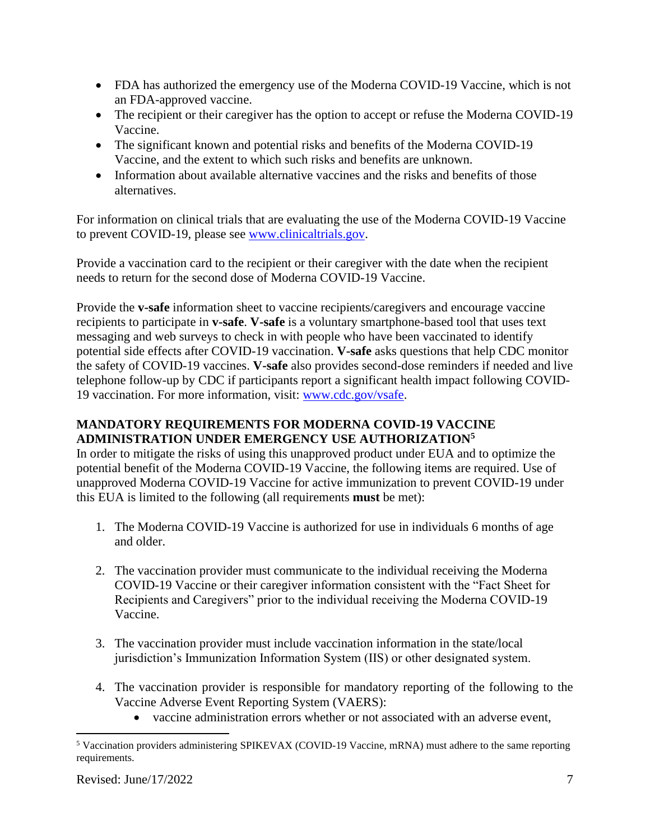- FDA has authorized the emergency use of the Moderna COVID-19 Vaccine, which is not an FDA-approved vaccine.
- The recipient or their caregiver has the option to accept or refuse the Moderna COVID-19 Vaccine.
- The significant known and potential risks and benefits of the Moderna COVID-19 Vaccine, and the extent to which such risks and benefits are unknown.
- Information about available alternative vaccines and the risks and benefits of those alternatives.

For information on clinical trials that are evaluating the use of the Moderna COVID-19 Vaccine to prevent COVID-19, please see www.clinicaltrials.gov.

Provide a vaccination card to the recipient or their caregiver with the date when the recipient needs to return for the second dose of Moderna COVID-19 Vaccine.

Provide the **v-safe** information sheet to vaccine recipients/caregivers and encourage vaccine recipients to participate in **v-safe**. **V-safe** is a voluntary smartphone-based tool that uses text messaging and web surveys to check in with people who have been vaccinated to identify potential side effects after COVID-19 vaccination. **V-safe** asks questions that help CDC monitor the safety of COVID-19 vaccines. **V-safe** also provides second-dose reminders if needed and live telephone follow-up by CDC if participants report a significant health impact following COVID-19 vaccination. For more information, visit: www.cdc.gov/vsafe.

# **MANDATORY REQUIREMENTS FOR MODERNA COVID-19 VACCINE ADMINISTRATION UNDER EMERGENCY USE AUTHORIZATION<sup>5</sup>**

In order to mitigate the risks of using this unapproved product under EUA and to optimize the potential benefit of the Moderna COVID-19 Vaccine, the following items are required. Use of unapproved Moderna COVID-19 Vaccine for active immunization to prevent COVID-19 under this EUA is limited to the following (all requirements **must** be met):

- 1. The Moderna COVID-19 Vaccine is authorized for use in individuals 6 months of age and older.
- 2. The vaccination provider must communicate to the individual receiving the Moderna COVID-19 Vaccine or their caregiver information consistent with the "Fact Sheet for Recipients and Caregivers" prior to the individual receiving the Moderna COVID-19 Vaccine.
- 3. The vaccination provider must include vaccination information in the state/local jurisdiction's Immunization Information System (IIS) or other designated system.
- 4. The vaccination provider is responsible for mandatory reporting of the following to the Vaccine Adverse Event Reporting System (VAERS):
	- vaccine administration errors whether or not associated with an adverse event,

<sup>5</sup> Vaccination providers administering SPIKEVAX (COVID-19 Vaccine, mRNA) must adhere to the same reporting requirements.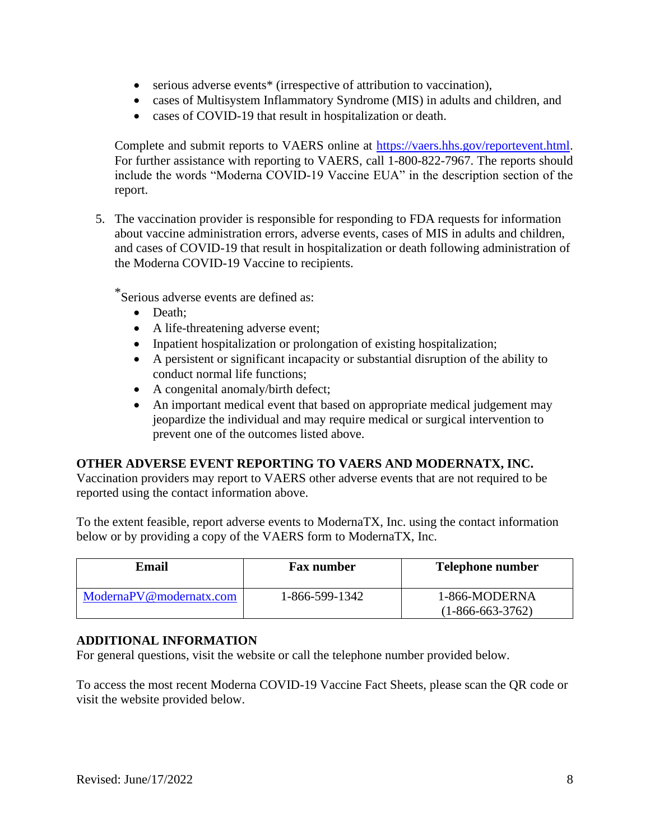- serious adverse events<sup>\*</sup> (irrespective of attribution to vaccination),
- cases of Multisystem Inflammatory Syndrome (MIS) in adults and children, and
- cases of COVID-19 that result in hospitalization or death.

Complete and submit reports to VAERS online at https://vaers.hhs.gov/reportevent.html. For further assistance with reporting to VAERS, call 1-800-822-7967. The reports should include the words "Moderna COVID-19 Vaccine EUA" in the description section of the report.

5. The vaccination provider is responsible for responding to FDA requests for information about vaccine administration errors, adverse events, cases of MIS in adults and children, and cases of COVID-19 that result in hospitalization or death following administration of the Moderna COVID-19 Vaccine to recipients.

\*Serious adverse events are defined as:

- Death:
- A life-threatening adverse event;
- Inpatient hospitalization or prolongation of existing hospitalization;
- A persistent or significant incapacity or substantial disruption of the ability to conduct normal life functions;
- A congenital anomaly/birth defect;
- An important medical event that based on appropriate medical judgement may jeopardize the individual and may require medical or surgical intervention to prevent one of the outcomes listed above.

### **OTHER ADVERSE EVENT REPORTING TO VAERS AND MODERNATX, INC.**

Vaccination providers may report to VAERS other adverse events that are not required to be reported using the contact information above.

To the extent feasible, report adverse events to ModernaTX, Inc. using the contact information below or by providing a copy of the VAERS form to ModernaTX, Inc.

| Email                   | <b>Fax number</b> | <b>Telephone number</b>             |
|-------------------------|-------------------|-------------------------------------|
| ModernaPV@modernatx.com | 1-866-599-1342    | 1-866-MODERNA<br>$(1-866-663-3762)$ |

### **ADDITIONAL INFORMATION**

For general questions, visit the website or call the telephone number provided below.

To access the most recent Moderna COVID-19 Vaccine Fact Sheets, please scan the QR code or visit the website provided below.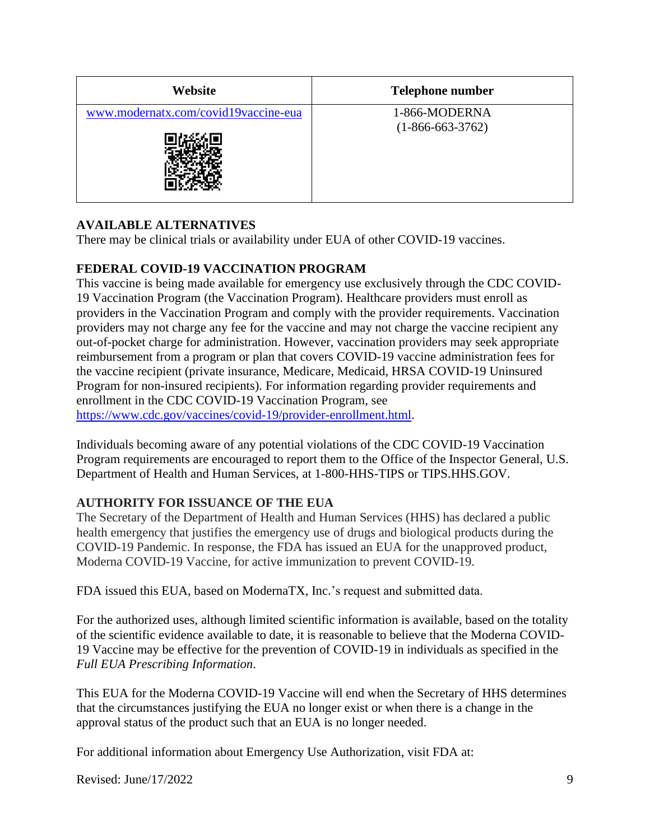| Website                              | <b>Telephone number</b>             |
|--------------------------------------|-------------------------------------|
| www.modernatx.com/covid19vaccine-eua | 1-866-MODERNA<br>$(1-866-663-3762)$ |

# **AVAILABLE ALTERNATIVES**

There may be clinical trials or availability under EUA of other COVID-19 vaccines.

### **FEDERAL COVID-19 VACCINATION PROGRAM**

This vaccine is being made available for emergency use exclusively through the CDC COVID-19 Vaccination Program (the Vaccination Program). Healthcare providers must enroll as providers in the Vaccination Program and comply with the provider requirements. Vaccination providers may not charge any fee for the vaccine and may not charge the vaccine recipient any out-of-pocket charge for administration. However, vaccination providers may seek appropriate reimbursement from a program or plan that covers COVID-19 vaccine administration fees for the vaccine recipient (private insurance, Medicare, Medicaid, HRSA COVID-19 Uninsured Program for non-insured recipients). For information regarding provider requirements and enrollment in the CDC COVID-19 Vaccination Program, see https://www.cdc.gov/vaccines/covid-19/provider-enrollment.html.

Individuals becoming aware of any potential violations of the CDC COVID-19 Vaccination Program requirements are encouraged to report them to the Office of the Inspector General, U.S. Department of Health and Human Services, at 1-800-HHS-TIPS or TIPS.HHS.GOV.

### **AUTHORITY FOR ISSUANCE OF THE EUA**

The Secretary of the Department of Health and Human Services (HHS) has declared a public health emergency that justifies the emergency use of drugs and biological products during the COVID-19 Pandemic. In response, the FDA has issued an EUA for the unapproved product, Moderna COVID-19 Vaccine, for active immunization to prevent COVID-19.

FDA issued this EUA, based on ModernaTX, Inc.'s request and submitted data.

For the authorized uses, although limited scientific information is available, based on the totality of the scientific evidence available to date, it is reasonable to believe that the Moderna COVID-19 Vaccine may be effective for the prevention of COVID-19 in individuals as specified in the *Full EUA Prescribing Information*.

This EUA for the Moderna COVID-19 Vaccine will end when the Secretary of HHS determines that the circumstances justifying the EUA no longer exist or when there is a change in the approval status of the product such that an EUA is no longer needed.

For additional information about Emergency Use Authorization, visit FDA at:

Revised:  $\text{June}/17/2022$  9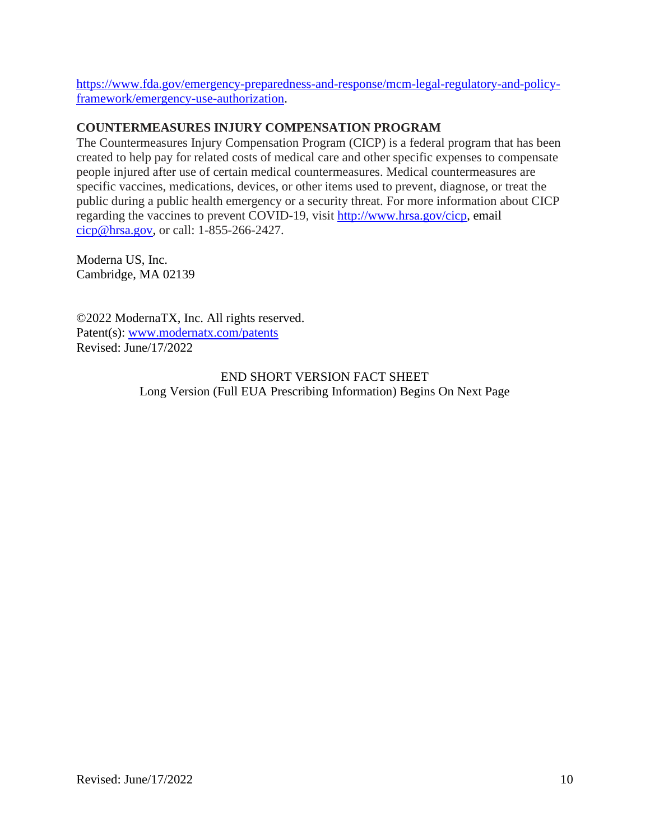https://www.fda.gov/emergency-preparedness-and-response/mcm-legal-regulatory-and-policyframework/emergency-use-authorization.

### **COUNTERMEASURES INJURY COMPENSATION PROGRAM**

The Countermeasures Injury Compensation Program (CICP) is a federal program that has been created to help pay for related costs of medical care and other specific expenses to compensate people injured after use of certain medical countermeasures. Medical countermeasures are specific vaccines, medications, devices, or other items used to prevent, diagnose, or treat the public during a public health emergency or a security threat. For more information about CICP regarding the vaccines to prevent COVID-19, visit http://www.hrsa.gov/cicp, email cicp@hrsa.gov, or call: 1-855-266-2427.

Moderna US, Inc. Cambridge, MA 02139

©2022 ModernaTX, Inc. All rights reserved. Patent(s): www.modernatx.com/patents Revised: June/17/2022

> END SHORT VERSION FACT SHEET Long Version (Full EUA Prescribing Information) Begins On Next Page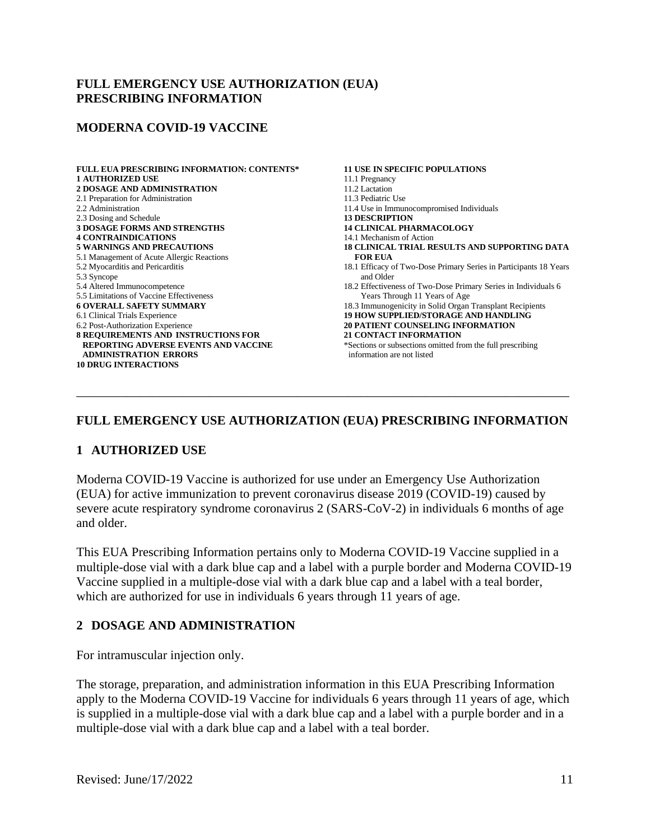#### **FULL EMERGENCY USE AUTHORIZATION (EUA) PRESCRIBING INFORMATION**

#### **MODERNA COVID-19 VACCINE**

| <b>FULL EUA PRESCRIBING INFORMATION: CONTENTS*</b> | <b>11 USE IN SPECIFIC POPULATIONS</b>                             |
|----------------------------------------------------|-------------------------------------------------------------------|
| <b>1 AUTHORIZED USE</b>                            | 11.1 Pregnancy                                                    |
| <b>2 DOSAGE AND ADMINISTRATION</b>                 | 11.2 Lactation                                                    |
| 2.1 Preparation for Administration                 | 11.3 Pediatric Use                                                |
| 2.2 Administration                                 | 11.4 Use in Immunocompromised Individuals                         |
| 2.3 Dosing and Schedule                            | <b>13 DESCRIPTION</b>                                             |
| <b>3 DOSAGE FORMS AND STRENGTHS</b>                | <b>14 CLINICAL PHARMACOLOGY</b>                                   |
| <b>4 CONTRAINDICATIONS</b>                         | 14.1 Mechanism of Action                                          |
| <b>5 WARNINGS AND PRECAUTIONS</b>                  | <b>18 CLINICAL TRIAL RESULTS AND SUPPORTING DATA</b>              |
| 5.1 Management of Acute Allergic Reactions         | <b>FOR EUA</b>                                                    |
| 5.2 Myocarditis and Pericarditis                   | 18.1 Efficacy of Two-Dose Primary Series in Participants 18 Years |
| 5.3 Syncope                                        | and Older                                                         |
| 5.4 Altered Immunocompetence                       | 18.2 Effectiveness of Two-Dose Primary Series in Individuals 6    |
| 5.5 Limitations of Vaccine Effectiveness           | Years Through 11 Years of Age                                     |
| <b>6 OVERALL SAFETY SUMMARY</b>                    | 18.3 Immunogenicity in Solid Organ Transplant Recipients          |
| 6.1 Clinical Trials Experience                     | <b>19 HOW SUPPLIED/STORAGE AND HANDLING</b>                       |
| 6.2 Post-Authorization Experience                  | <b>20 PATIENT COUNSELING INFORMATION</b>                          |
| 8 REQUIREMENTS AND INSTRUCTIONS FOR                | <b>21 CONTACT INFORMATION</b>                                     |
| <b>REPORTING ADVERSE EVENTS AND VACCINE</b>        | *Sections or subsections omitted from the full prescribing        |
| <b>ADMINISTRATION ERRORS</b>                       | information are not listed                                        |
| <b>10 DRUG INTERACTIONS</b>                        |                                                                   |
|                                                    |                                                                   |
|                                                    |                                                                   |
|                                                    |                                                                   |

### **FULL EMERGENCY USE AUTHORIZATION (EUA) PRESCRIBING INFORMATION**

#### **1 AUTHORIZED USE**

Moderna COVID-19 Vaccine is authorized for use under an Emergency Use Authorization (EUA) for active immunization to prevent coronavirus disease 2019 (COVID-19) caused by severe acute respiratory syndrome coronavirus 2 (SARS-CoV-2) in individuals 6 months of age and older.

This EUA Prescribing Information pertains only to Moderna COVID-19 Vaccine supplied in a multiple-dose vial with a dark blue cap and a label with a purple border and Moderna COVID-19 Vaccine supplied in a multiple-dose vial with a dark blue cap and a label with a teal border, which are authorized for use in individuals 6 years through 11 years of age.

#### **2 DOSAGE AND ADMINISTRATION**

For intramuscular injection only.

The storage, preparation, and administration information in this EUA Prescribing Information apply to the Moderna COVID-19 Vaccine for individuals 6 years through 11 years of age, which is supplied in a multiple-dose vial with a dark blue cap and a label with a purple border and in a multiple-dose vial with a dark blue cap and a label with a teal border.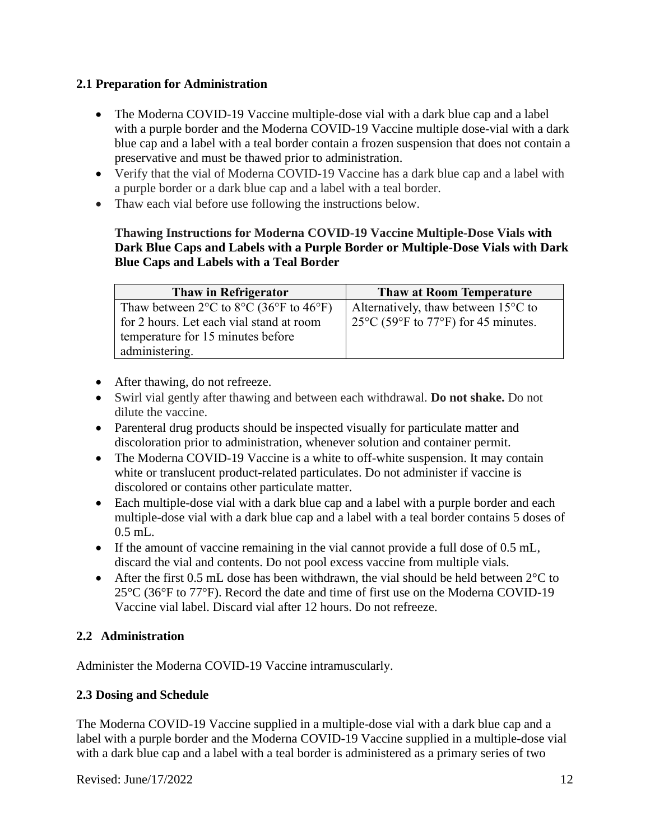# **2.1 Preparation for Administration**

- The Moderna COVID-19 Vaccine multiple-dose vial with a dark blue cap and a label with a purple border and the Moderna COVID-19 Vaccine multiple dose-vial with a dark blue cap and a label with a teal border contain a frozen suspension that does not contain a preservative and must be thawed prior to administration.
- Verify that the vial of Moderna COVID-19 Vaccine has a dark blue cap and a label with a purple border or a dark blue cap and a label with a teal border.
- Thaw each vial before use following the instructions below.

# **Thawing Instructions for Moderna COVID-19 Vaccine Multiple-Dose Vials with Dark Blue Caps and Labels with a Purple Border or Multiple-Dose Vials with Dark Blue Caps and Labels with a Teal Border**

| Thaw in Refrigerator                                                                 | <b>Thaw at Room Temperature</b>                |
|--------------------------------------------------------------------------------------|------------------------------------------------|
| Thaw between $2^{\circ}$ C to $8^{\circ}$ C (36 <sup>o</sup> F to 46 <sup>o</sup> F) | Alternatively, thaw between $15^{\circ}$ C to  |
| for 2 hours. Let each vial stand at room                                             | $125^{\circ}$ C (59°F to 77°F) for 45 minutes. |
| temperature for 15 minutes before                                                    |                                                |
| administering.                                                                       |                                                |

- After thawing, do not refreeze.
- Swirl vial gently after thawing and between each withdrawal. **Do not shake.** Do not dilute the vaccine.
- Parenteral drug products should be inspected visually for particulate matter and discoloration prior to administration, whenever solution and container permit.
- The Moderna COVID-19 Vaccine is a white to off-white suspension. It may contain white or translucent product-related particulates. Do not administer if vaccine is discolored or contains other particulate matter.
- Each multiple-dose vial with a dark blue cap and a label with a purple border and each multiple-dose vial with a dark blue cap and a label with a teal border contains 5 doses of 0.5 mL.
- If the amount of vaccine remaining in the vial cannot provide a full dose of 0.5 mL, discard the vial and contents. Do not pool excess vaccine from multiple vials.
- After the first 0.5 mL dose has been withdrawn, the vial should be held between  $2^{\circ}C$  to  $25^{\circ}$ C (36 $^{\circ}$ F to 77 $^{\circ}$ F). Record the date and time of first use on the Moderna COVID-19 Vaccine vial label. Discard vial after 12 hours. Do not refreeze.

# **2.2 Administration**

Administer the Moderna COVID-19 Vaccine intramuscularly.

# **2.3 Dosing and Schedule**

The Moderna COVID-19 Vaccine supplied in a multiple-dose vial with a dark blue cap and a label with a purple border and the Moderna COVID-19 Vaccine supplied in a multiple-dose vial with a dark blue cap and a label with a teal border is administered as a primary series of two

Revised:  $\text{June}/17/2022$  12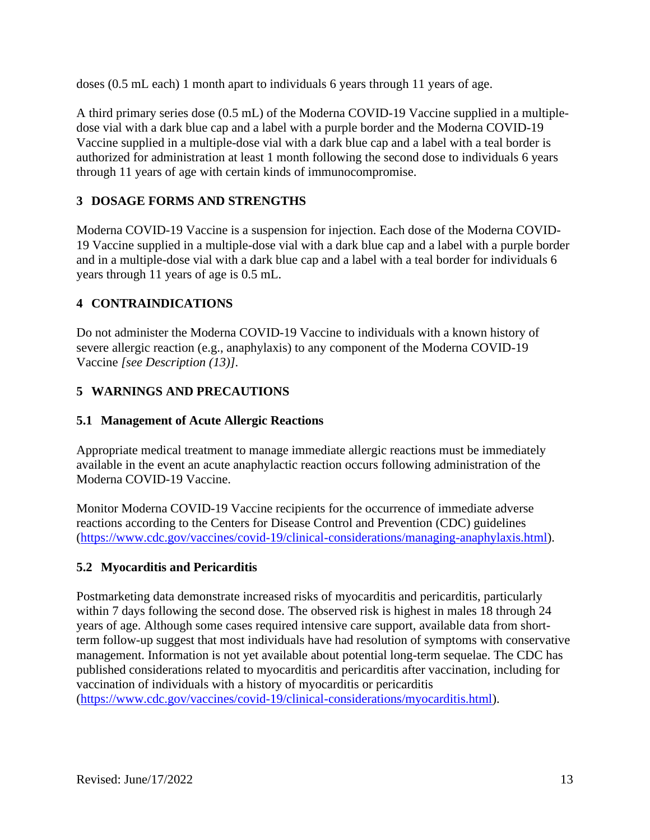doses (0.5 mL each) 1 month apart to individuals 6 years through 11 years of age.

A third primary series dose (0.5 mL) of the Moderna COVID-19 Vaccine supplied in a multipledose vial with a dark blue cap and a label with a purple border and the Moderna COVID-19 Vaccine supplied in a multiple-dose vial with a dark blue cap and a label with a teal border is authorized for administration at least 1 month following the second dose to individuals 6 years through 11 years of age with certain kinds of immunocompromise.

# **3 DOSAGE FORMS AND STRENGTHS**

Moderna COVID-19 Vaccine is a suspension for injection. Each dose of the Moderna COVID-19 Vaccine supplied in a multiple-dose vial with a dark blue cap and a label with a purple border and in a multiple-dose vial with a dark blue cap and a label with a teal border for individuals 6 years through 11 years of age is 0.5 mL.

### **4 CONTRAINDICATIONS**

<span id="page-12-0"></span>Do not administer the Moderna COVID-19 Vaccine to individuals with a known history of severe allergic reaction (e.g., anaphylaxis) to any component of the Moderna COVID-19 Vaccine *[see Description (13)]*.

# **5 WARNINGS AND PRECAUTIONS**

### **5.1 Management of Acute Allergic Reactions**

Appropriate medical treatment to manage immediate allergic reactions must be immediately available in the event an acute anaphylactic reaction occurs following administration of the Moderna COVID-19 Vaccine.

Monitor Moderna COVID-19 Vaccine recipients for the occurrence of immediate adverse reactions according to the Centers for Disease Control and Prevention (CDC) guidelines (https://www.cdc.gov/vaccines/covid-19/clinical-considerations/managing-anaphylaxis.html).

### **5.2 Myocarditis and Pericarditis**

Postmarketing data demonstrate increased risks of myocarditis and pericarditis, particularly within 7 days following the second dose. The observed risk is highest in males 18 through 24 years of age. Although some cases required intensive care support, available data from shortterm follow-up suggest that most individuals have had resolution of symptoms with conservative management. Information is not yet available about potential long-term sequelae. The CDC has published considerations related to myocarditis and pericarditis after vaccination, including for vaccination of individuals with a history of myocarditis or pericarditis

(https://www.cdc.gov/vaccines/covid-19/clinical-considerations/myocarditis.html).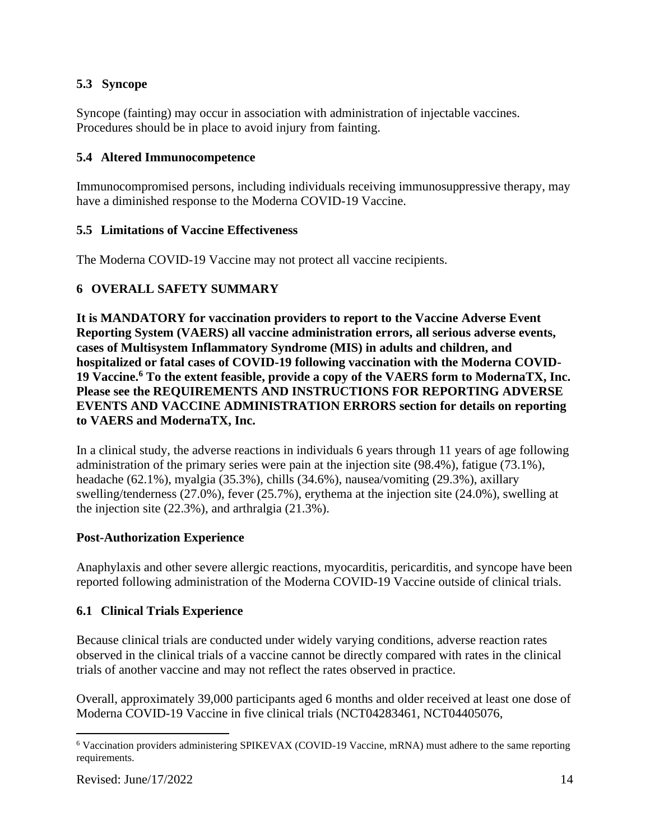# **5.3 Syncope**

Syncope (fainting) may occur in association with administration of injectable vaccines. Procedures should be in place to avoid injury from fainting.

#### **5.4 Altered Immunocompetence**

Immunocompromised persons, including individuals receiving immunosuppressive therapy, may have a diminished response to the Moderna COVID-19 Vaccine.

#### **5.5 Limitations of Vaccine Effectiveness**

The Moderna COVID-19 Vaccine may not protect all vaccine recipients.

# **6 OVERALL SAFETY SUMMARY**

**It is MANDATORY for vaccination providers to report to the Vaccine Adverse Event Reporting System (VAERS) all vaccine administration errors, all serious adverse events, cases of Multisystem Inflammatory Syndrome (MIS) in adults and children, and hospitalized or fatal cases of COVID-19 following vaccination with the Moderna COVID-19 Vaccine.<sup>6</sup> To the extent feasible, provide a copy of the VAERS form to ModernaTX, Inc. Please see the REQUIREMENTS AND INSTRUCTIONS FOR REPORTING ADVERSE EVENTS AND VACCINE ADMINISTRATION ERRORS section for details on reporting to VAERS and ModernaTX, Inc.**

In a clinical study, the adverse reactions in individuals 6 years through 11 years of age following administration of the primary series were pain at the injection site (98.4%), fatigue (73.1%), headache (62.1%), myalgia (35.3%), chills (34.6%), nausea/vomiting (29.3%), axillary swelling/tenderness (27.0%), fever (25.7%), erythema at the injection site (24.0%), swelling at the injection site (22.3%), and arthralgia (21.3%).

#### **Post-Authorization Experience**

Anaphylaxis and other severe allergic reactions, myocarditis, pericarditis, and syncope have been reported following administration of the Moderna COVID-19 Vaccine outside of clinical trials.

### **6.1 Clinical Trials Experience**

Because clinical trials are conducted under widely varying conditions, adverse reaction rates observed in the clinical trials of a vaccine cannot be directly compared with rates in the clinical trials of another vaccine and may not reflect the rates observed in practice.

Overall, approximately 39,000 participants aged 6 months and older received at least one dose of Moderna COVID-19 Vaccine in five clinical trials (NCT04283461, NCT04405076,

<sup>6</sup> Vaccination providers administering SPIKEVAX (COVID-19 Vaccine, mRNA) must adhere to the same reporting requirements.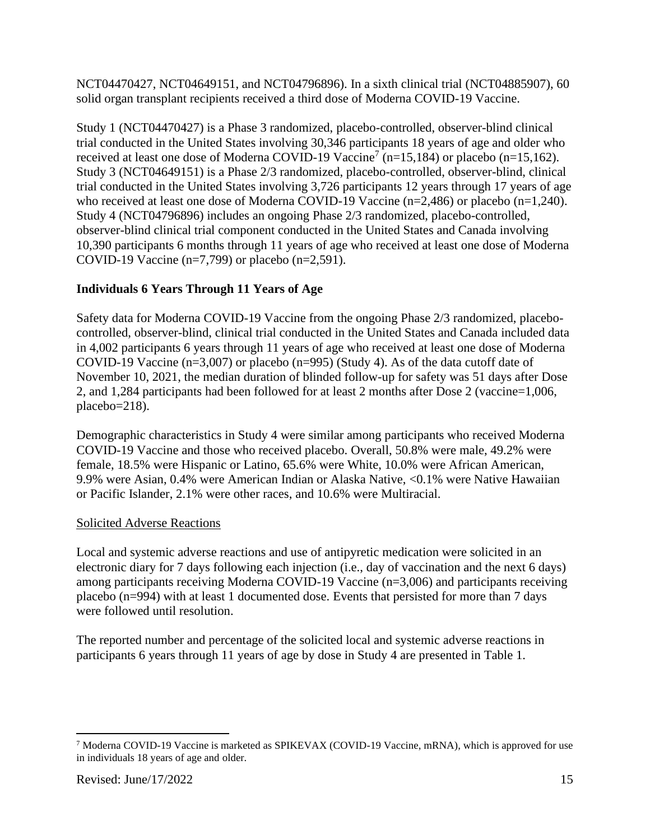NCT04470427, NCT04649151, and NCT04796896). In a sixth clinical trial (NCT04885907), 60 solid organ transplant recipients received a third dose of Moderna COVID-19 Vaccine.

Study 1 (NCT04470427) is a Phase 3 randomized, placebo-controlled, observer-blind clinical trial conducted in the United States involving 30,346 participants 18 years of age and older who received at least one dose of Moderna COVID-19 Vaccine<sup>7</sup> ( $n=15,184$ ) or placebo ( $n=15,162$ ). Study 3 (NCT04649151) is a Phase 2/3 randomized, placebo-controlled, observer-blind, clinical trial conducted in the United States involving 3,726 participants 12 years through 17 years of age who received at least one dose of Moderna COVID-19 Vaccine (n=2,486) or placebo (n=1,240). Study 4 (NCT04796896) includes an ongoing Phase 2/3 randomized, placebo-controlled, observer-blind clinical trial component conducted in the United States and Canada involving 10,390 participants 6 months through 11 years of age who received at least one dose of Moderna COVID-19 Vaccine (n=7,799) or placebo (n=2,591).

# **Individuals 6 Years Through 11 Years of Age**

Safety data for Moderna COVID-19 Vaccine from the ongoing Phase 2/3 randomized, placebocontrolled, observer-blind, clinical trial conducted in the United States and Canada included data in 4,002 participants 6 years through 11 years of age who received at least one dose of Moderna COVID-19 Vaccine (n=3,007) or placebo (n=995) (Study 4). As of the data cutoff date of November 10, 2021, the median duration of blinded follow-up for safety was 51 days after Dose 2, and 1,284 participants had been followed for at least 2 months after Dose 2 (vaccine=1,006, placebo=218).

Demographic characteristics in Study 4 were similar among participants who received Moderna COVID-19 Vaccine and those who received placebo. Overall, 50.8% were male, 49.2% were female, 18.5% were Hispanic or Latino, 65.6% were White, 10.0% were African American, 9.9% were Asian, 0.4% were American Indian or Alaska Native, <0.1% were Native Hawaiian or Pacific Islander, 2.1% were other races, and 10.6% were Multiracial.

# Solicited Adverse Reactions

Local and systemic adverse reactions and use of antipyretic medication were solicited in an electronic diary for 7 days following each injection (i.e., day of vaccination and the next 6 days) among participants receiving Moderna COVID-19 Vaccine (n=3,006) and participants receiving placebo (n=994) with at least 1 documented dose. Events that persisted for more than 7 days were followed until resolution.

The reported number and percentage of the solicited local and systemic adverse reactions in participants 6 years through 11 years of age by dose in Study 4 are presented in Table 1.

<sup>7</sup> Moderna COVID-19 Vaccine is marketed as SPIKEVAX (COVID-19 Vaccine, mRNA), which is approved for use in individuals 18 years of age and older.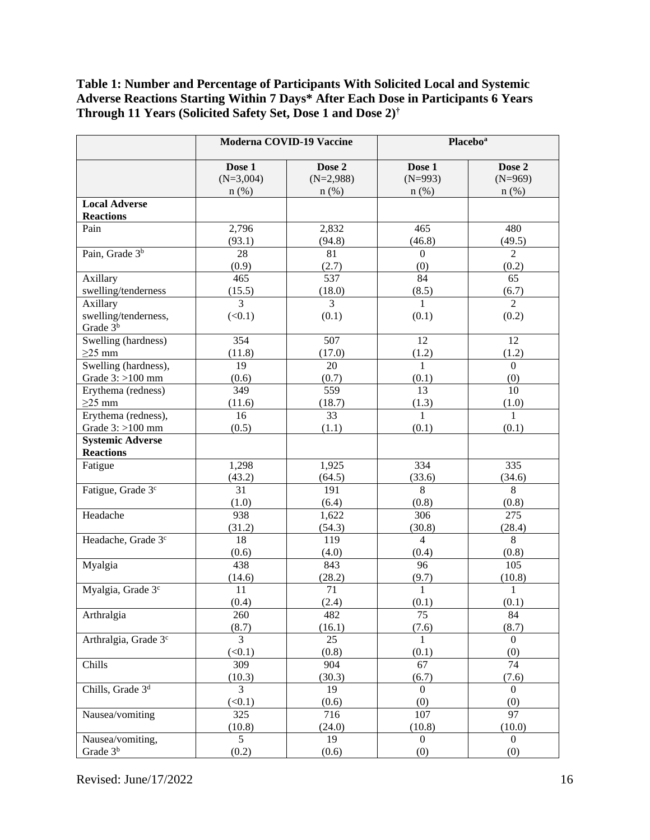### **Table 1: Number and Percentage of Participants With Solicited Local and Systemic Adverse Reactions Starting Within 7 Days\* After Each Dose in Participants 6 Years Through 11 Years (Solicited Safety Set, Dose 1 and Dose 2) †**

|                                  | Moderna COVID-19 Vaccine |                | <b>Placebo</b> <sup>a</sup> |                        |  |  |
|----------------------------------|--------------------------|----------------|-----------------------------|------------------------|--|--|
|                                  | Dose 1                   | Dose 2         | Dose 1                      | Dose 2                 |  |  |
|                                  | $(N=3,004)$              | $(N=2,988)$    | $(N=993)$                   | $(N=969)$              |  |  |
|                                  | $n$ (%)                  | $n$ (%)        | $n$ (%)                     | $n$ (%)                |  |  |
| <b>Local Adverse</b>             |                          |                |                             |                        |  |  |
| <b>Reactions</b>                 |                          |                |                             |                        |  |  |
| Pain                             | 2,796                    | 2,832          | 465                         | 480                    |  |  |
|                                  | (93.1)                   | (94.8)         | (46.8)                      | (49.5)                 |  |  |
| Pain, Grade 3 <sup>b</sup>       | 28                       | 81             | $\boldsymbol{0}$            | $\overline{2}$         |  |  |
|                                  | (0.9)                    | (2.7)          | (0)                         | (0.2)                  |  |  |
| Axillary                         | 465                      | 537            | 84                          | 65                     |  |  |
| swelling/tenderness              | (15.5)                   | (18.0)         | (8.5)                       | (6.7)                  |  |  |
| Axillary                         | $\overline{3}$           | $\overline{3}$ | $\mathbf{1}$                | $\overline{2}$         |  |  |
| swelling/tenderness,             | (<0.1)                   | (0.1)          | (0.1)                       | (0.2)                  |  |  |
| Grade 3 <sup>b</sup>             |                          |                |                             |                        |  |  |
| Swelling (hardness)              | 354                      | 507            | 12                          | 12                     |  |  |
| $\geq$ 25 mm                     | (11.8)                   | (17.0)         | (1.2)                       | (1.2)                  |  |  |
| Swelling (hardness),             | 19                       | 20             | $\mathbf{1}$                | $\boldsymbol{0}$       |  |  |
| Grade $3:$ >100 mm               | (0.6)                    | (0.7)          | (0.1)                       | (0)                    |  |  |
| Erythema (redness)               | 349                      | 559            | 13                          | 10                     |  |  |
| $\geq$ 25 mm                     | (11.6)                   | (18.7)         | (1.3)                       | (1.0)                  |  |  |
| Erythema (redness),              | 16                       | 33             | $\mathbf{1}$                | $\mathbf{1}$           |  |  |
| Grade $3:$ >100 mm               | (0.5)                    | (1.1)          | (0.1)                       | (0.1)                  |  |  |
| <b>Systemic Adverse</b>          |                          |                |                             |                        |  |  |
| <b>Reactions</b>                 |                          |                |                             |                        |  |  |
| Fatigue                          | 1,298                    | 1,925          | 334                         | 335                    |  |  |
|                                  | (43.2)                   | (64.5)         | (33.6)<br>(34.6)            |                        |  |  |
| Fatigue, Grade 3 <sup>c</sup>    | 31                       | 191            | 8                           | 8                      |  |  |
|                                  | (1.0)                    | (6.4)          | (0.8)                       | (0.8)                  |  |  |
| Headache                         | 938                      | 1,622          | 306                         | 275                    |  |  |
|                                  | (31.2)                   | (54.3)         | (30.8)                      | (28.4)                 |  |  |
| Headache, Grade 3 <sup>c</sup>   | 18                       | 119            | $\overline{4}$              | 8                      |  |  |
|                                  | (0.6)                    | (4.0)          | (0.4)                       | (0.8)                  |  |  |
| Myalgia                          | 438                      | 843            | 96                          | 105                    |  |  |
| Myalgia, Grade 3c                | (14.6)<br>11             | (28.2)<br>71   | (9.7)<br>$\mathbf{1}$       | (10.8)<br>$\mathbf{1}$ |  |  |
|                                  | (0.4)                    | (2.4)          | (0.1)                       | (0.1)                  |  |  |
| Arthralgia                       | 260                      | 482            | 75                          | 84                     |  |  |
|                                  | (8.7)                    | (16.1)         | (7.6)                       | (8.7)                  |  |  |
| Arthralgia, Grade 3 <sup>c</sup> | 3                        | 25             | $\mathbf{1}$                | $\boldsymbol{0}$       |  |  |
|                                  | (<0.1)                   | (0.8)          | (0.1)                       | (0)                    |  |  |
| Chills                           | 309                      | 904            | 67                          | $\overline{74}$        |  |  |
|                                  | (10.3)                   | (30.3)         | (6.7)                       | (7.6)                  |  |  |
| Chills, Grade 3 <sup>d</sup>     | $\overline{3}$           | 19             | $\boldsymbol{0}$            | $\mathbf{0}$           |  |  |
|                                  | (<0.1)                   | (0.6)          | (0)                         | (0)                    |  |  |
| Nausea/vomiting                  | 325                      | 716            | 107                         | 97                     |  |  |
|                                  | (10.8)                   | (24.0)         | (10.8)                      | (10.0)                 |  |  |
| Nausea/vomiting,                 | $\overline{5}$           | 19             | $\Omega$                    | $\Omega$               |  |  |
| Grade 3 <sup>b</sup>             | (0.2)                    | (0.6)          | (0)                         | (0)                    |  |  |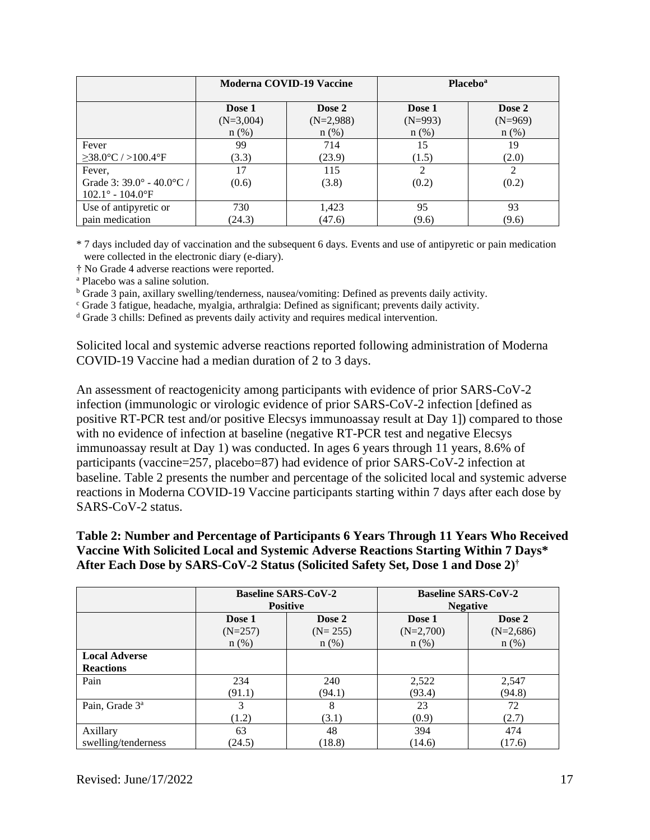|                                              | Moderna COVID-19 Vaccine |                       | <b>Placebo</b> <sup>a</sup> |                     |
|----------------------------------------------|--------------------------|-----------------------|-----------------------------|---------------------|
|                                              | Dose 1<br>$(N=3,004)$    | Dose 2<br>$(N=2,988)$ | Dose 1<br>$(N=993)$         | Dose 2<br>$(N=969)$ |
|                                              | $n$ (%)                  | $n$ (%)               | $n$ (%)                     | $n$ (%)             |
| Fever                                        | 99                       | 714                   | 15                          | 19                  |
| $\geq$ 38.0°C / >100.4°F                     | (3.3)                    | (23.9)                | (1.5)                       | (2.0)               |
| Fever,                                       | 17                       | 115                   | $\mathfrak{D}$              | 2                   |
| Grade 3: $39.0^{\circ}$ - $40.0^{\circ}$ C / | (0.6)                    | (3.8)                 | (0.2)                       | (0.2)               |
| $102.1^{\circ} - 104.0^{\circ}$ F            |                          |                       |                             |                     |
| Use of antipyretic or                        | 730                      | 1,423                 | 95                          | 93                  |
| pain medication                              | (24.3)                   | (47.6)                | (9.6)                       | (9.6)               |

\* 7 days included day of vaccination and the subsequent 6 days. Events and use of antipyretic or pain medication were collected in the electronic diary (e-diary).

† No Grade 4 adverse reactions were reported.

<sup>a</sup> Placebo was a saline solution.

<sup>b</sup> Grade 3 pain, axillary swelling/tenderness, nausea/vomiting: Defined as prevents daily activity.

<sup>c</sup> Grade 3 fatigue, headache, myalgia, arthralgia: Defined as significant; prevents daily activity.

<sup>d</sup> Grade 3 chills: Defined as prevents daily activity and requires medical intervention.

Solicited local and systemic adverse reactions reported following administration of Moderna COVID-19 Vaccine had a median duration of 2 to 3 days.

An assessment of reactogenicity among participants with evidence of prior SARS-CoV-2 infection (immunologic or virologic evidence of prior SARS-CoV-2 infection [defined as positive RT-PCR test and/or positive Elecsys immunoassay result at Day 1]) compared to those with no evidence of infection at baseline (negative RT-PCR test and negative Elecsys immunoassay result at Day 1) was conducted. In ages 6 years through 11 years, 8.6% of participants (vaccine=257, placebo=87) had evidence of prior SARS-CoV-2 infection at baseline. Table 2 presents the number and percentage of the solicited local and systemic adverse reactions in Moderna COVID-19 Vaccine participants starting within 7 days after each dose by SARS-CoV-2 status.

#### **Table 2: Number and Percentage of Participants 6 Years Through 11 Years Who Received Vaccine With Solicited Local and Systemic Adverse Reactions Starting Within 7 Days\* After Each Dose by SARS-CoV-2 Status (Solicited Safety Set, Dose 1 and Dose 2) †**

|                                          | <b>Baseline SARS-CoV-2</b><br><b>Positive</b> |           | <b>Baseline SARS-CoV-2</b><br><b>Negative</b> |             |
|------------------------------------------|-----------------------------------------------|-----------|-----------------------------------------------|-------------|
|                                          | Dose 1                                        | Dose 2    | Dose 1                                        | Dose 2      |
|                                          | $(N=257)$                                     | $(N=255)$ | $(N=2,700)$                                   | $(N=2,686)$ |
|                                          | $n$ (%)                                       | $n$ (%)   | $n$ (%)                                       | $n$ (%)     |
| <b>Local Adverse</b><br><b>Reactions</b> |                                               |           |                                               |             |
| Pain                                     | 234                                           | 240       | 2,522                                         | 2,547       |
|                                          | (91.1)                                        | (94.1)    | (93.4)                                        | (94.8)      |
| Pain, Grade 3 <sup>a</sup>               | 3                                             | 8         | 23                                            | 72          |
|                                          | (1.2)                                         | (3.1)     | (0.9)                                         | (2.7)       |
| Axillary                                 | 63                                            | 48        | 394                                           | 474         |
| swelling/tenderness                      | (24.5)                                        | (18.8)    | (14.6)                                        | (17.6)      |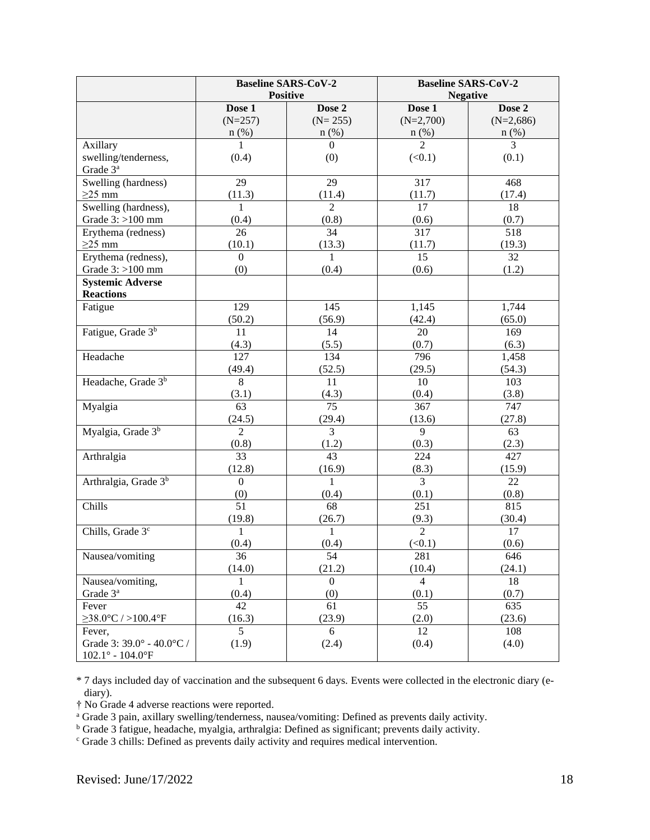|                                                                           |                  | <b>Baseline SARS-CoV-2</b><br><b>Positive</b> | <b>Baseline SARS-CoV-2</b><br><b>Negative</b> |             |
|---------------------------------------------------------------------------|------------------|-----------------------------------------------|-----------------------------------------------|-------------|
|                                                                           | Dose 1           | Dose 2                                        | Dose 1                                        | Dose 2      |
|                                                                           | $(N=257)$        | $(N=255)$                                     | $(N=2,700)$                                   | $(N=2,686)$ |
|                                                                           | $n$ (%)          | $n$ (%)                                       |                                               | $n(\%)$     |
| Axillary                                                                  |                  | $\Omega$                                      | $\frac{n(%)}{2}$<br>$\overline{3}$            |             |
| swelling/tenderness,                                                      | (0.4)            | (0)                                           | (<0.1)                                        | (0.1)       |
| Grade 3 <sup>ª</sup>                                                      |                  |                                               |                                               |             |
| Swelling (hardness)                                                       | 29               | 29                                            | 317                                           | 468         |
| $\geq$ 25 mm                                                              | (11.3)           | (11.4)                                        | (11.7)                                        | (17.4)      |
| Swelling (hardness),                                                      | $\mathbf{1}$     | $\overline{2}$                                | 17                                            | 18          |
| Grade $3:$ >100 mm                                                        | (0.4)            | (0.8)                                         | (0.6)                                         | (0.7)       |
| Erythema (redness)                                                        | 26               | 34                                            | 317                                           | 518         |
| $\geq$ 25 mm                                                              | (10.1)           | (13.3)                                        | (11.7)                                        | (19.3)      |
| Erythema (redness),                                                       | $\overline{0}$   | 1                                             | 15                                            | 32          |
| Grade $3:$ >100 mm                                                        | (0)              | (0.4)                                         | (0.6)                                         | (1.2)       |
| <b>Systemic Adverse</b>                                                   |                  |                                               |                                               |             |
| <b>Reactions</b>                                                          |                  |                                               |                                               |             |
| Fatigue                                                                   | 129              | 145                                           | 1,145                                         | 1,744       |
|                                                                           | (50.2)           | (56.9)                                        | (42.4)                                        | (65.0)      |
| Fatigue, Grade 3 <sup>b</sup>                                             | 11               | 14                                            | 20                                            | 169         |
|                                                                           | (4.3)            | (5.5)                                         | (0.7)                                         | (6.3)       |
| Headache                                                                  | 127              | 134                                           | 796                                           | 1,458       |
|                                                                           | (49.4)           | (52.5)                                        | (29.5)                                        | (54.3)      |
| Headache, Grade 3 <sup>b</sup>                                            | 8                | 11                                            | 10                                            | 103         |
|                                                                           | (3.1)            | (4.3)                                         | (0.4)                                         | (3.8)       |
| Myalgia                                                                   | 63               | $\overline{75}$                               | 367                                           | 747         |
|                                                                           | (24.5)           | (29.4)                                        | (13.6)                                        | (27.8)      |
| Myalgia, Grade 3 <sup>b</sup>                                             | $\overline{2}$   | $\overline{3}$                                | 9                                             | 63          |
|                                                                           | (0.8)            | (1.2)                                         | (0.3)                                         | (2.3)       |
| Arthralgia                                                                | $\overline{33}$  | 43                                            | 224                                           | 427         |
|                                                                           | (12.8)           | (16.9)                                        | (8.3)                                         | (15.9)      |
| Arthralgia, Grade 3 <sup>b</sup>                                          | $\boldsymbol{0}$ | $\mathbf{1}$                                  | $\overline{3}$                                | 22          |
|                                                                           | (0)              | (0.4)                                         | (0.1)                                         | (0.8)       |
| Chills                                                                    | $\overline{51}$  | 68                                            | 251                                           | 815         |
|                                                                           | (19.8)           | (26.7)                                        | (9.3)                                         | (30.4)      |
| Chills, Grade 3 <sup>c</sup>                                              | 1                | 1                                             | $\overline{2}$                                | 17          |
|                                                                           | (0.4)            | (0.4)                                         | (<0.1)                                        | (0.6)       |
| Nausea/vomiting                                                           | 36               | 54                                            | 281                                           | 646         |
|                                                                           | (14.0)           | (21.2)                                        | (10.4)                                        | (24.1)      |
| Nausea/vomiting,                                                          | $\mathbf{1}$     | $\boldsymbol{0}$                              | $\overline{4}$                                | 18          |
| Grade 3 <sup>a</sup>                                                      | (0.4)            | (0)                                           | (0.1)                                         | (0.7)       |
| Fever                                                                     | 42               | 61                                            | 55                                            | 635         |
| $\geq$ 38.0°C / >100.4°F                                                  | (16.3)           | (23.9)                                        | (2.0)                                         | (23.6)      |
| Fever,                                                                    | 5                | 6                                             | 12                                            | 108         |
| Grade 3: 39.0° - 40.0°C /<br>$102.1^{\circ}$ - $104.0^{\circ} \mathrm{F}$ | (1.9)            | (2.4)                                         | (0.4)                                         | (4.0)       |

\* 7 days included day of vaccination and the subsequent 6 days. Events were collected in the electronic diary (ediary).

† No Grade 4 adverse reactions were reported.

<sup>a</sup> Grade 3 pain, axillary swelling/tenderness, nausea/vomiting: Defined as prevents daily activity.

<sup>b</sup> Grade 3 fatigue, headache, myalgia, arthralgia: Defined as significant; prevents daily activity.

<sup>c</sup> Grade 3 chills: Defined as prevents daily activity and requires medical intervention.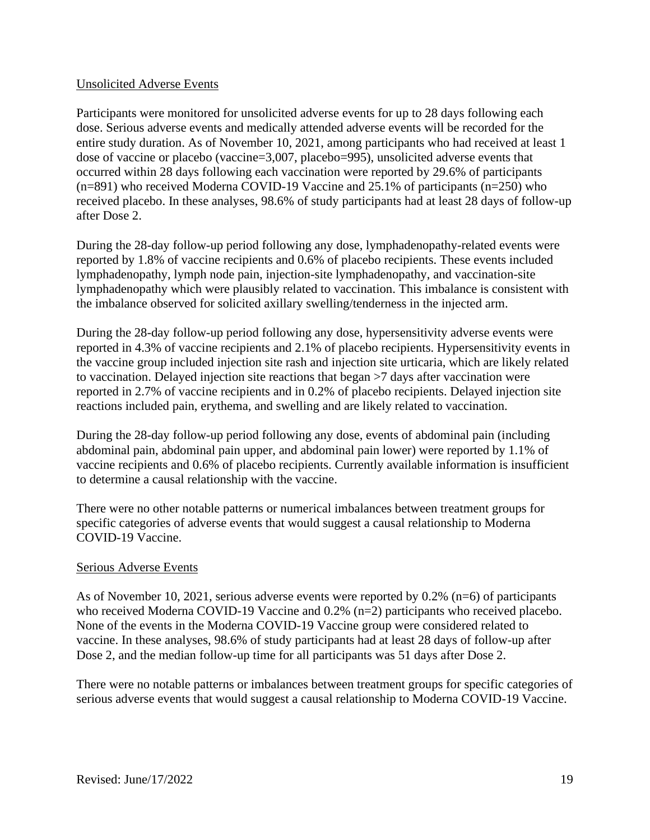#### Unsolicited Adverse Events

Participants were monitored for unsolicited adverse events for up to 28 days following each dose. Serious adverse events and medically attended adverse events will be recorded for the entire study duration. As of November 10, 2021, among participants who had received at least 1 dose of vaccine or placebo (vaccine=3,007, placebo=995), unsolicited adverse events that occurred within 28 days following each vaccination were reported by 29.6% of participants (n=891) who received Moderna COVID-19 Vaccine and 25.1% of participants (n=250) who received placebo. In these analyses, 98.6% of study participants had at least 28 days of follow-up after Dose 2.

During the 28-day follow-up period following any dose, lymphadenopathy-related events were reported by 1.8% of vaccine recipients and 0.6% of placebo recipients. These events included lymphadenopathy, lymph node pain, injection-site lymphadenopathy, and vaccination-site lymphadenopathy which were plausibly related to vaccination. This imbalance is consistent with the imbalance observed for solicited axillary swelling/tenderness in the injected arm.

During the 28-day follow-up period following any dose, hypersensitivity adverse events were reported in 4.3% of vaccine recipients and 2.1% of placebo recipients. Hypersensitivity events in the vaccine group included injection site rash and injection site urticaria, which are likely related to vaccination. Delayed injection site reactions that began >7 days after vaccination were reported in 2.7% of vaccine recipients and in 0.2% of placebo recipients. Delayed injection site reactions included pain, erythema, and swelling and are likely related to vaccination.

During the 28-day follow-up period following any dose, events of abdominal pain (including abdominal pain, abdominal pain upper, and abdominal pain lower) were reported by 1.1% of vaccine recipients and 0.6% of placebo recipients. Currently available information is insufficient to determine a causal relationship with the vaccine.

There were no other notable patterns or numerical imbalances between treatment groups for specific categories of adverse events that would suggest a causal relationship to Moderna COVID-19 Vaccine.

#### Serious Adverse Events

As of November 10, 2021, serious adverse events were reported by 0.2% (n=6) of participants who received Moderna COVID-19 Vaccine and 0.2% (n=2) participants who received placebo. None of the events in the Moderna COVID-19 Vaccine group were considered related to vaccine. In these analyses, 98.6% of study participants had at least 28 days of follow-up after Dose 2, and the median follow-up time for all participants was 51 days after Dose 2.

There were no notable patterns or imbalances between treatment groups for specific categories of serious adverse events that would suggest a causal relationship to Moderna COVID-19 Vaccine.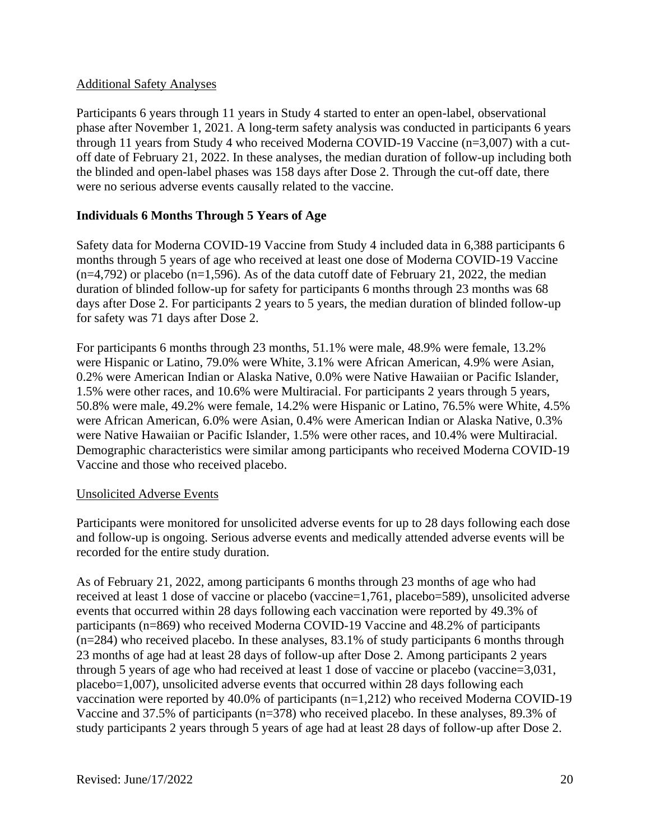#### Additional Safety Analyses

Participants 6 years through 11 years in Study 4 started to enter an open-label, observational phase after November 1, 2021. A long-term safety analysis was conducted in participants 6 years through 11 years from Study 4 who received Moderna COVID-19 Vaccine (n=3,007) with a cutoff date of February 21, 2022. In these analyses, the median duration of follow-up including both the blinded and open-label phases was 158 days after Dose 2. Through the cut-off date, there were no serious adverse events causally related to the vaccine.

### **Individuals 6 Months Through 5 Years of Age**

Safety data for Moderna COVID-19 Vaccine from Study 4 included data in 6,388 participants 6 months through 5 years of age who received at least one dose of Moderna COVID-19 Vaccine  $(n=4,792)$  or placebo  $(n=1,596)$ . As of the data cutoff date of February 21, 2022, the median duration of blinded follow-up for safety for participants 6 months through 23 months was 68 days after Dose 2. For participants 2 years to 5 years, the median duration of blinded follow-up for safety was 71 days after Dose 2.

For participants 6 months through 23 months, 51.1% were male, 48.9% were female, 13.2% were Hispanic or Latino, 79.0% were White, 3.1% were African American, 4.9% were Asian, 0.2% were American Indian or Alaska Native, 0.0% were Native Hawaiian or Pacific Islander, 1.5% were other races, and 10.6% were Multiracial. For participants 2 years through 5 years, 50.8% were male, 49.2% were female, 14.2% were Hispanic or Latino, 76.5% were White, 4.5% were African American, 6.0% were Asian, 0.4% were American Indian or Alaska Native, 0.3% were Native Hawaiian or Pacific Islander, 1.5% were other races, and 10.4% were Multiracial. Demographic characteristics were similar among participants who received Moderna COVID-19 Vaccine and those who received placebo.

#### Unsolicited Adverse Events

Participants were monitored for unsolicited adverse events for up to 28 days following each dose and follow-up is ongoing. Serious adverse events and medically attended adverse events will be recorded for the entire study duration.

As of February 21, 2022, among participants 6 months through 23 months of age who had received at least 1 dose of vaccine or placebo (vaccine=1,761, placebo=589), unsolicited adverse events that occurred within 28 days following each vaccination were reported by 49.3% of participants (n=869) who received Moderna COVID-19 Vaccine and 48.2% of participants (n=284) who received placebo. In these analyses, 83.1% of study participants 6 months through 23 months of age had at least 28 days of follow-up after Dose 2. Among participants 2 years through 5 years of age who had received at least 1 dose of vaccine or placebo (vaccine=3,031, placebo=1,007), unsolicited adverse events that occurred within 28 days following each vaccination were reported by 40.0% of participants  $(n=1,212)$  who received Moderna COVID-19 Vaccine and 37.5% of participants (n=378) who received placebo. In these analyses, 89.3% of study participants 2 years through 5 years of age had at least 28 days of follow-up after Dose 2.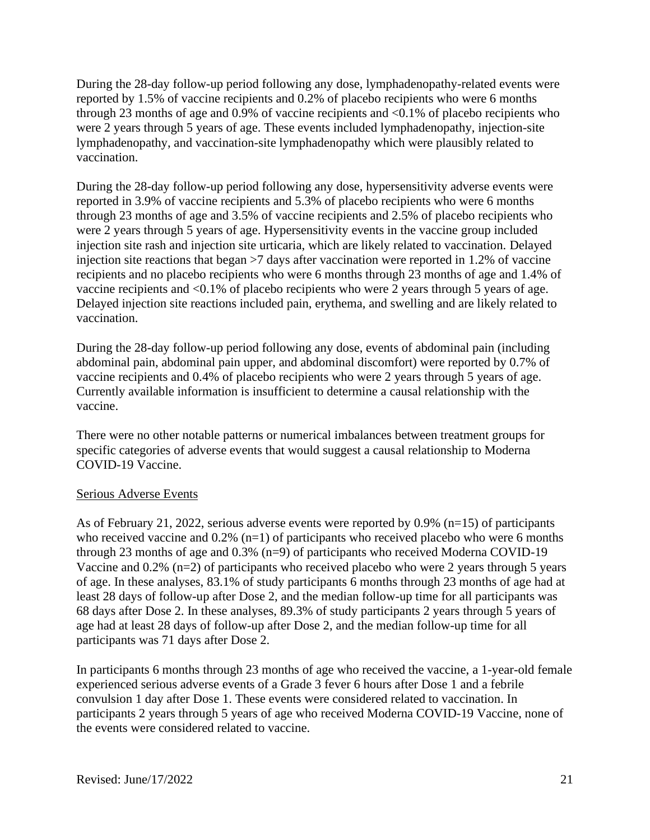During the 28-day follow-up period following any dose, lymphadenopathy-related events were reported by 1.5% of vaccine recipients and 0.2% of placebo recipients who were 6 months through 23 months of age and 0.9% of vaccine recipients and  $\langle 0.1\%$  of placebo recipients who were 2 years through 5 years of age. These events included lymphadenopathy, injection-site lymphadenopathy, and vaccination-site lymphadenopathy which were plausibly related to vaccination.

During the 28-day follow-up period following any dose, hypersensitivity adverse events were reported in 3.9% of vaccine recipients and 5.3% of placebo recipients who were 6 months through 23 months of age and 3.5% of vaccine recipients and 2.5% of placebo recipients who were 2 years through 5 years of age. Hypersensitivity events in the vaccine group included injection site rash and injection site urticaria, which are likely related to vaccination. Delayed injection site reactions that began >7 days after vaccination were reported in 1.2% of vaccine recipients and no placebo recipients who were 6 months through 23 months of age and 1.4% of vaccine recipients and <0.1% of placebo recipients who were 2 years through 5 years of age. Delayed injection site reactions included pain, erythema, and swelling and are likely related to vaccination.

During the 28-day follow-up period following any dose, events of abdominal pain (including abdominal pain, abdominal pain upper, and abdominal discomfort) were reported by 0.7% of vaccine recipients and 0.4% of placebo recipients who were 2 years through 5 years of age. Currently available information is insufficient to determine a causal relationship with the vaccine.

There were no other notable patterns or numerical imbalances between treatment groups for specific categories of adverse events that would suggest a causal relationship to Moderna COVID-19 Vaccine.

#### Serious Adverse Events

As of February 21, 2022, serious adverse events were reported by 0.9% (n=15) of participants who received vaccine and  $0.2\%$  (n=1) of participants who received placebo who were 6 months through 23 months of age and 0.3% (n=9) of participants who received Moderna COVID-19 Vaccine and 0.2% (n=2) of participants who received placebo who were 2 years through 5 years of age. In these analyses, 83.1% of study participants 6 months through 23 months of age had at least 28 days of follow-up after Dose 2, and the median follow-up time for all participants was 68 days after Dose 2. In these analyses, 89.3% of study participants 2 years through 5 years of age had at least 28 days of follow-up after Dose 2, and the median follow-up time for all participants was 71 days after Dose 2.

In participants 6 months through 23 months of age who received the vaccine, a 1-year-old female experienced serious adverse events of a Grade 3 fever 6 hours after Dose 1 and a febrile convulsion 1 day after Dose 1. These events were considered related to vaccination. In participants 2 years through 5 years of age who received Moderna COVID-19 Vaccine, none of the events were considered related to vaccine.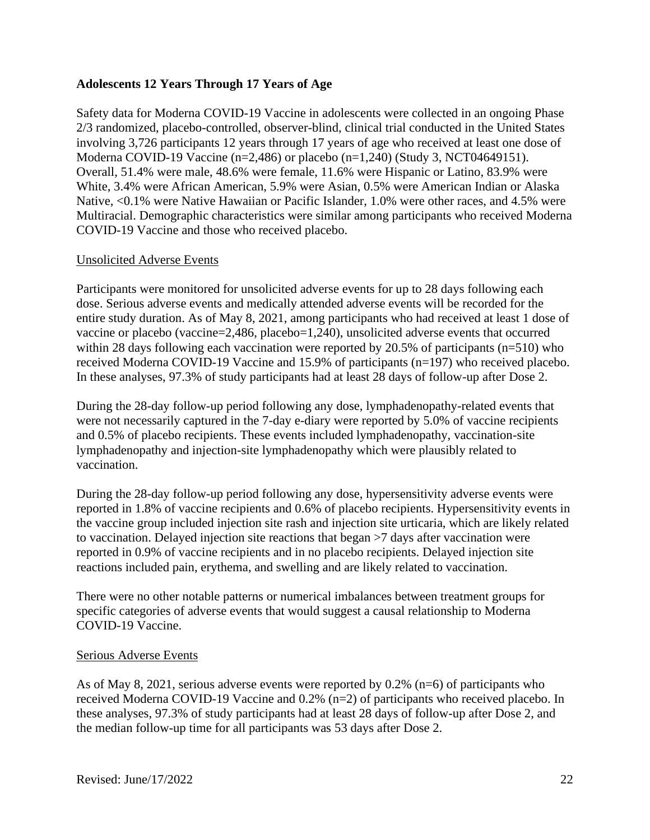#### **Adolescents 12 Years Through 17 Years of Age**

Safety data for Moderna COVID-19 Vaccine in adolescents were collected in an ongoing Phase 2/3 randomized, placebo-controlled, observer-blind, clinical trial conducted in the United States involving 3,726 participants 12 years through 17 years of age who received at least one dose of Moderna COVID-19 Vaccine (n=2,486) or placebo (n=1,240) (Study 3, NCT04649151). Overall, 51.4% were male, 48.6% were female, 11.6% were Hispanic or Latino, 83.9% were White, 3.4% were African American, 5.9% were Asian, 0.5% were American Indian or Alaska Native, <0.1% were Native Hawaiian or Pacific Islander, 1.0% were other races, and 4.5% were Multiracial. Demographic characteristics were similar among participants who received Moderna COVID-19 Vaccine and those who received placebo.

#### Unsolicited Adverse Events

Participants were monitored for unsolicited adverse events for up to 28 days following each dose. Serious adverse events and medically attended adverse events will be recorded for the entire study duration. As of May 8, 2021, among participants who had received at least 1 dose of vaccine or placebo (vaccine=2,486, placebo=1,240), unsolicited adverse events that occurred within 28 days following each vaccination were reported by 20.5% of participants (n=510) who received Moderna COVID-19 Vaccine and 15.9% of participants (n=197) who received placebo. In these analyses, 97.3% of study participants had at least 28 days of follow-up after Dose 2.

During the 28-day follow-up period following any dose, lymphadenopathy-related events that were not necessarily captured in the 7-day e-diary were reported by 5.0% of vaccine recipients and 0.5% of placebo recipients. These events included lymphadenopathy, vaccination-site lymphadenopathy and injection-site lymphadenopathy which were plausibly related to vaccination.

During the 28-day follow-up period following any dose, hypersensitivity adverse events were reported in 1.8% of vaccine recipients and 0.6% of placebo recipients. Hypersensitivity events in the vaccine group included injection site rash and injection site urticaria, which are likely related to vaccination. Delayed injection site reactions that began >7 days after vaccination were reported in 0.9% of vaccine recipients and in no placebo recipients. Delayed injection site reactions included pain, erythema, and swelling and are likely related to vaccination.

There were no other notable patterns or numerical imbalances between treatment groups for specific categories of adverse events that would suggest a causal relationship to Moderna COVID-19 Vaccine.

#### Serious Adverse Events

As of May 8, 2021, serious adverse events were reported by 0.2% (n=6) of participants who received Moderna COVID-19 Vaccine and 0.2% (n=2) of participants who received placebo. In these analyses, 97.3% of study participants had at least 28 days of follow-up after Dose 2, and the median follow-up time for all participants was 53 days after Dose 2.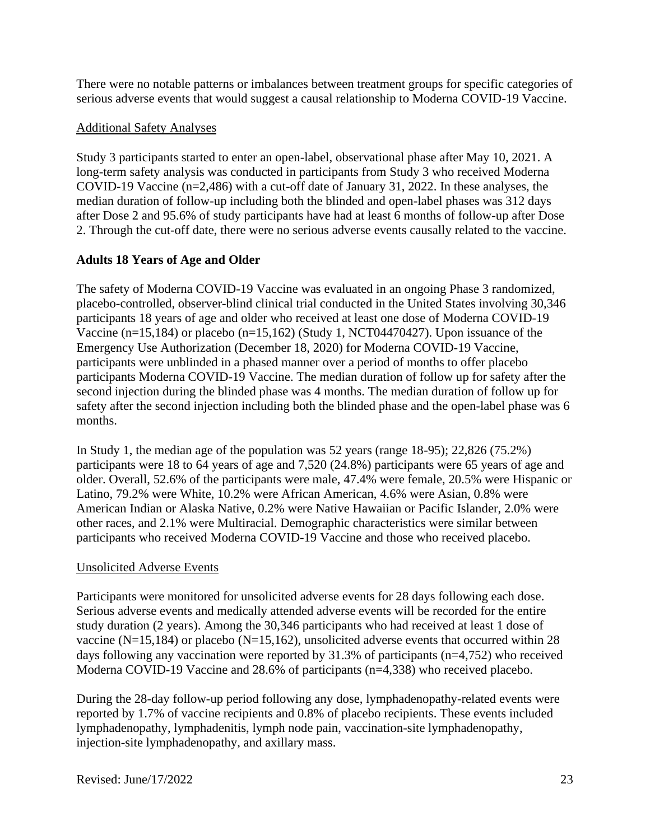There were no notable patterns or imbalances between treatment groups for specific categories of serious adverse events that would suggest a causal relationship to Moderna COVID-19 Vaccine.

#### Additional Safety Analyses

Study 3 participants started to enter an open-label, observational phase after May 10, 2021. A long-term safety analysis was conducted in participants from Study 3 who received Moderna COVID-19 Vaccine (n=2,486) with a cut-off date of January 31, 2022. In these analyses, the median duration of follow-up including both the blinded and open-label phases was 312 days after Dose 2 and 95.6% of study participants have had at least 6 months of follow-up after Dose 2. Through the cut-off date, there were no serious adverse events causally related to the vaccine.

### **Adults 18 Years of Age and Older**

The safety of Moderna COVID-19 Vaccine was evaluated in an ongoing Phase 3 randomized, placebo-controlled, observer-blind clinical trial conducted in the United States involving 30,346 participants 18 years of age and older who received at least one dose of Moderna COVID-19 Vaccine (n=15,184) or placebo (n=15,162) (Study 1, NCT04470427). Upon issuance of the Emergency Use Authorization (December 18, 2020) for Moderna COVID-19 Vaccine, participants were unblinded in a phased manner over a period of months to offer placebo participants Moderna COVID-19 Vaccine. The median duration of follow up for safety after the second injection during the blinded phase was 4 months. The median duration of follow up for safety after the second injection including both the blinded phase and the open-label phase was 6 months.

In Study 1, the median age of the population was 52 years (range 18-95); 22,826 (75.2%) participants were 18 to 64 years of age and 7,520 (24.8%) participants were 65 years of age and older. Overall, 52.6% of the participants were male, 47.4% were female, 20.5% were Hispanic or Latino, 79.2% were White, 10.2% were African American, 4.6% were Asian, 0.8% were American Indian or Alaska Native, 0.2% were Native Hawaiian or Pacific Islander, 2.0% were other races, and 2.1% were Multiracial. Demographic characteristics were similar between participants who received Moderna COVID-19 Vaccine and those who received placebo.

### Unsolicited Adverse Events

Participants were monitored for unsolicited adverse events for 28 days following each dose. Serious adverse events and medically attended adverse events will be recorded for the entire study duration (2 years). Among the 30,346 participants who had received at least 1 dose of vaccine (N=15,184) or placebo (N=15,162), unsolicited adverse events that occurred within 28 days following any vaccination were reported by 31.3% of participants (n=4,752) who received Moderna COVID-19 Vaccine and 28.6% of participants (n=4,338) who received placebo.

During the 28-day follow-up period following any dose, lymphadenopathy-related events were reported by 1.7% of vaccine recipients and 0.8% of placebo recipients. These events included lymphadenopathy, lymphadenitis, lymph node pain, vaccination-site lymphadenopathy, injection-site lymphadenopathy, and axillary mass.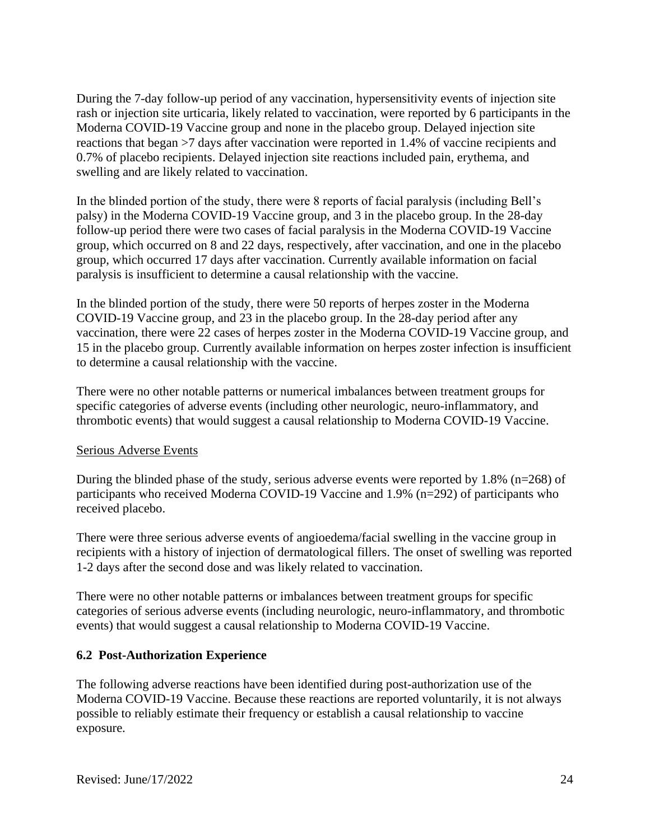During the 7-day follow-up period of any vaccination, hypersensitivity events of injection site rash or injection site urticaria, likely related to vaccination, were reported by 6 participants in the Moderna COVID-19 Vaccine group and none in the placebo group. Delayed injection site reactions that began >7 days after vaccination were reported in 1.4% of vaccine recipients and 0.7% of placebo recipients. Delayed injection site reactions included pain, erythema, and swelling and are likely related to vaccination.

In the blinded portion of the study, there were 8 reports of facial paralysis (including Bell's palsy) in the Moderna COVID-19 Vaccine group, and 3 in the placebo group. In the 28-day follow-up period there were two cases of facial paralysis in the Moderna COVID-19 Vaccine group, which occurred on 8 and 22 days, respectively, after vaccination, and one in the placebo group, which occurred 17 days after vaccination. Currently available information on facial paralysis is insufficient to determine a causal relationship with the vaccine.

In the blinded portion of the study, there were 50 reports of herpes zoster in the Moderna COVID-19 Vaccine group, and 23 in the placebo group. In the 28-day period after any vaccination, there were 22 cases of herpes zoster in the Moderna COVID-19 Vaccine group, and 15 in the placebo group. Currently available information on herpes zoster infection is insufficient to determine a causal relationship with the vaccine.

There were no other notable patterns or numerical imbalances between treatment groups for specific categories of adverse events (including other neurologic, neuro-inflammatory, and thrombotic events) that would suggest a causal relationship to Moderna COVID-19 Vaccine.

### Serious Adverse Events

During the blinded phase of the study, serious adverse events were reported by 1.8% ( $n=268$ ) of participants who received Moderna COVID-19 Vaccine and 1.9% (n=292) of participants who received placebo.

There were three serious adverse events of angioedema/facial swelling in the vaccine group in recipients with a history of injection of dermatological fillers. The onset of swelling was reported 1-2 days after the second dose and was likely related to vaccination.

There were no other notable patterns or imbalances between treatment groups for specific categories of serious adverse events (including neurologic, neuro-inflammatory, and thrombotic events) that would suggest a causal relationship to Moderna COVID-19 Vaccine.

### **6.2 Post-Authorization Experience**

The following adverse reactions have been identified during post-authorization use of the Moderna COVID-19 Vaccine. Because these reactions are reported voluntarily, it is not always possible to reliably estimate their frequency or establish a causal relationship to vaccine exposure.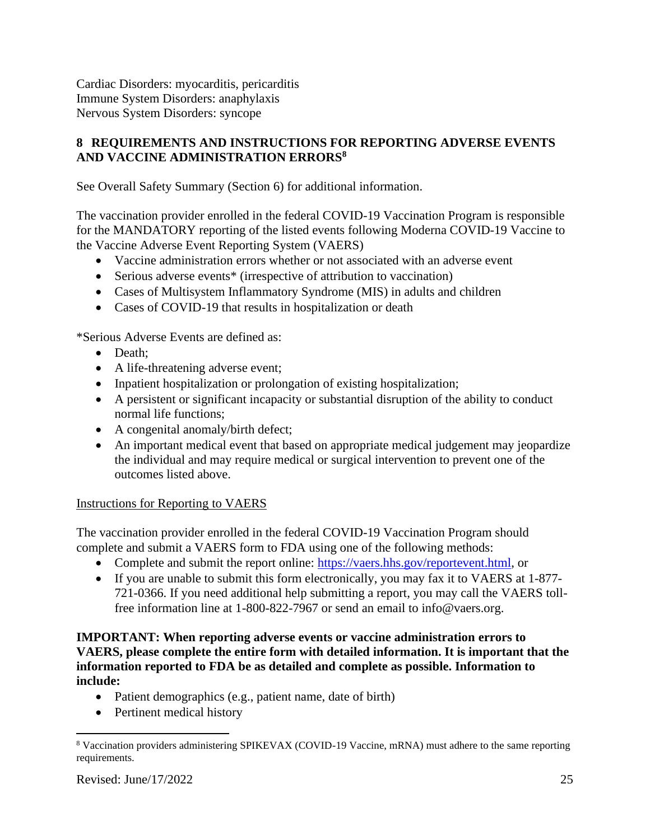Cardiac Disorders: myocarditis, pericarditis Immune System Disorders: anaphylaxis Nervous System Disorders: syncope

# **8 REQUIREMENTS AND INSTRUCTIONS FOR REPORTING ADVERSE EVENTS AND VACCINE ADMINISTRATION ERRORS<sup>8</sup>**

See Overall Safety Summary (Section 6) for additional information.

The vaccination provider enrolled in the federal COVID-19 Vaccination Program is responsible for the MANDATORY reporting of the listed events following Moderna COVID-19 Vaccine to the Vaccine Adverse Event Reporting System (VAERS)

- Vaccine administration errors whether or not associated with an adverse event
- Serious adverse events<sup>\*</sup> (irrespective of attribution to vaccination)
- Cases of Multisystem Inflammatory Syndrome (MIS) in adults and children
- Cases of COVID-19 that results in hospitalization or death

\*Serious Adverse Events are defined as:

- Death;
- A life-threatening adverse event;
- Inpatient hospitalization or prolongation of existing hospitalization;
- A persistent or significant incapacity or substantial disruption of the ability to conduct normal life functions;
- A congenital anomaly/birth defect;
- An important medical event that based on appropriate medical judgement may jeopardize the individual and may require medical or surgical intervention to prevent one of the outcomes listed above.

### Instructions for Reporting to VAERS

The vaccination provider enrolled in the federal COVID-19 Vaccination Program should complete and submit a VAERS form to FDA using one of the following methods:

- Complete and submit the report online: https://vaers.hhs.gov/reportevent.html, or
- If you are unable to submit this form electronically, you may fax it to VAERS at 1-877- 721-0366. If you need additional help submitting a report, you may call the VAERS tollfree information line at 1-800-822-7967 or send an email to info@vaers.org.

#### **IMPORTANT: When reporting adverse events or vaccine administration errors to VAERS, please complete the entire form with detailed information. It is important that the information reported to FDA be as detailed and complete as possible. Information to include:**

- Patient demographics (e.g., patient name, date of birth)
- Pertinent medical history

<sup>8</sup> Vaccination providers administering SPIKEVAX (COVID-19 Vaccine, mRNA) must adhere to the same reporting requirements.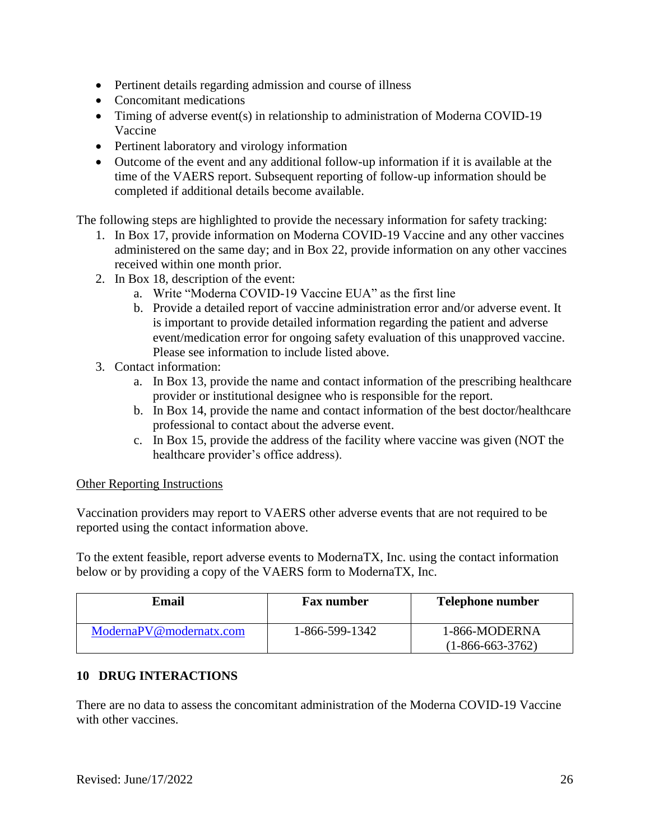- Pertinent details regarding admission and course of illness
- Concomitant medications
- Timing of adverse event(s) in relationship to administration of Moderna COVID-19 Vaccine
- Pertinent laboratory and virology information
- Outcome of the event and any additional follow-up information if it is available at the time of the VAERS report. Subsequent reporting of follow-up information should be completed if additional details become available.

The following steps are highlighted to provide the necessary information for safety tracking:

- 1. In Box 17, provide information on Moderna COVID-19 Vaccine and any other vaccines administered on the same day; and in Box 22, provide information on any other vaccines received within one month prior.
- 2. In Box 18, description of the event:
	- a. Write "Moderna COVID-19 Vaccine EUA" as the first line
	- b. Provide a detailed report of vaccine administration error and/or adverse event. It is important to provide detailed information regarding the patient and adverse event/medication error for ongoing safety evaluation of this unapproved vaccine. Please see information to include listed above.
- 3. Contact information:
	- a. In Box 13, provide the name and contact information of the prescribing healthcare provider or institutional designee who is responsible for the report.
	- b. In Box 14, provide the name and contact information of the best doctor/healthcare professional to contact about the adverse event.
	- c. In Box 15, provide the address of the facility where vaccine was given (NOT the healthcare provider's office address).

### Other Reporting Instructions

Vaccination providers may report to VAERS other adverse events that are not required to be reported using the contact information above.

To the extent feasible, report adverse events to ModernaTX, Inc. using the contact information below or by providing a copy of the VAERS form to ModernaTX, Inc.

| Email                   | <b>Fax number</b> | <b>Telephone number</b>             |
|-------------------------|-------------------|-------------------------------------|
| ModernaPV@modernatx.com | 1-866-599-1342    | 1-866-MODERNA<br>$(1-866-663-3762)$ |

# **10 DRUG INTERACTIONS**

There are no data to assess the concomitant administration of the Moderna COVID-19 Vaccine with other vaccines.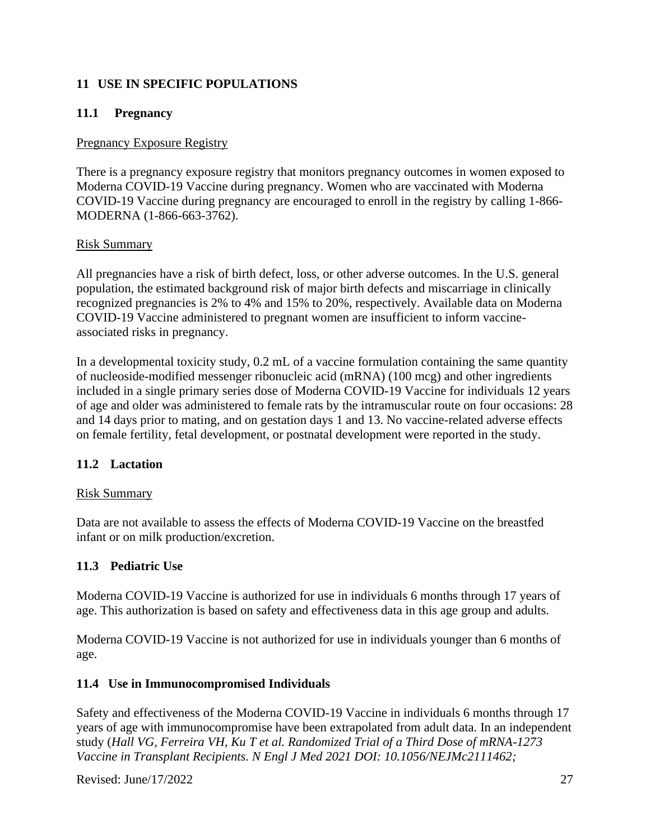# **11 USE IN SPECIFIC POPULATIONS**

# **11.1 Pregnancy**

#### Pregnancy Exposure Registry

There is a pregnancy exposure registry that monitors pregnancy outcomes in women exposed to Moderna COVID-19 Vaccine during pregnancy. Women who are vaccinated with Moderna COVID-19 Vaccine during pregnancy are encouraged to enroll in the registry by calling 1-866- MODERNA (1-866-663-3762).

#### Risk Summary

All pregnancies have a risk of birth defect, loss, or other adverse outcomes. In the U.S. general population, the estimated background risk of major birth defects and miscarriage in clinically recognized pregnancies is 2% to 4% and 15% to 20%, respectively. Available data on Moderna COVID-19 Vaccine administered to pregnant women are insufficient to inform vaccineassociated risks in pregnancy.

In a developmental toxicity study, 0.2 mL of a vaccine formulation containing the same quantity of nucleoside-modified messenger ribonucleic acid (mRNA) (100 mcg) and other ingredients included in a single primary series dose of Moderna COVID-19 Vaccine for individuals 12 years of age and older was administered to female rats by the intramuscular route on four occasions: 28 and 14 days prior to mating, and on gestation days 1 and 13. No vaccine-related adverse effects on female fertility, fetal development, or postnatal development were reported in the study.

### **11.2 Lactation**

### Risk Summary

Data are not available to assess the effects of Moderna COVID-19 Vaccine on the breastfed infant or on milk production/excretion.

### **11.3 Pediatric Use**

Moderna COVID-19 Vaccine is authorized for use in individuals 6 months through 17 years of age. This authorization is based on safety and effectiveness data in this age group and adults.

Moderna COVID-19 Vaccine is not authorized for use in individuals younger than 6 months of age.

### **11.4 Use in Immunocompromised Individuals**

Safety and effectiveness of the Moderna COVID-19 Vaccine in individuals 6 months through 17 years of age with immunocompromise have been extrapolated from adult data. In an independent study (*Hall VG, Ferreira VH, Ku T et al. Randomized Trial of a Third Dose of mRNA-1273 Vaccine in Transplant Recipients. N Engl J Med 2021 DOI: 10.1056/NEJMc2111462;*

Revised:  $\text{June/17/2022}$  27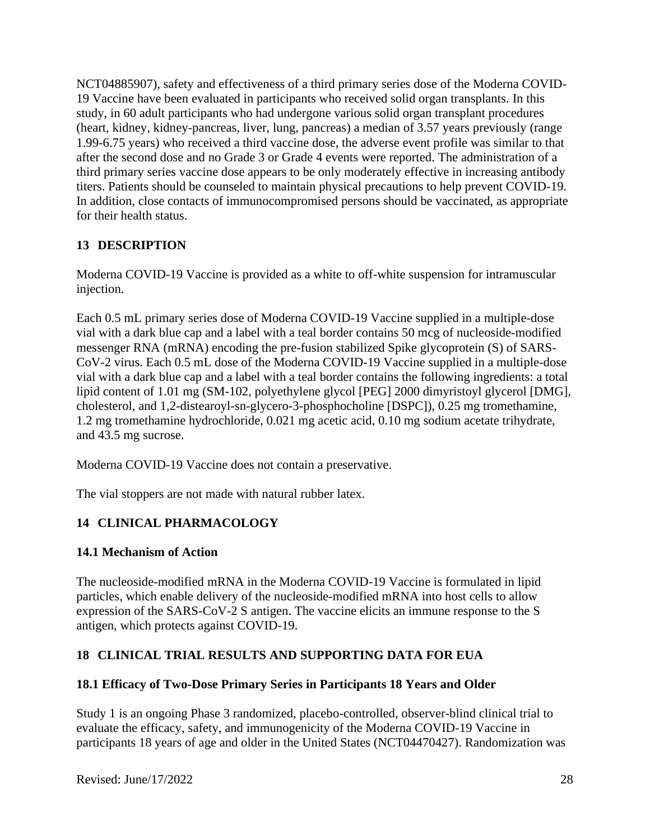NCT04885907), safety and effectiveness of a third primary series dose of the Moderna COVID-19 Vaccine have been evaluated in participants who received solid organ transplants. In this study, in 60 adult participants who had undergone various solid organ transplant procedures (heart, kidney, kidney-pancreas, liver, lung, pancreas) a median of 3.57 years previously (range 1.99-6.75 years) who received a third vaccine dose, the adverse event profile was similar to that after the second dose and no Grade 3 or Grade 4 events were reported. The administration of a third primary series vaccine dose appears to be only moderately effective in increasing antibody titers. Patients should be counseled to maintain physical precautions to help prevent COVID-19. In addition, close contacts of immunocompromised persons should be vaccinated, as appropriate for their health status.

# **13 DESCRIPTION**

Moderna COVID-19 Vaccine is provided as a white to off-white suspension for intramuscular injection.

Each 0.5 mL primary series dose of Moderna COVID-19 Vaccine supplied in a multiple-dose vial with a dark blue cap and a label with a teal border contains 50 mcg of nucleoside-modified messenger RNA (mRNA) encoding the pre-fusion stabilized Spike glycoprotein (S) of SARS-CoV-2 virus. Each 0.5 mL dose of the Moderna COVID-19 Vaccine supplied in a multiple-dose vial with a dark blue cap and a label with a teal border contains the following ingredients: a total lipid content of 1.01 mg (SM-102, polyethylene glycol [PEG] 2000 dimyristoyl glycerol [DMG], cholesterol, and 1,2-distearoyl-sn-glycero-3-phosphocholine [DSPC]), 0.25 mg tromethamine, 1.2 mg tromethamine hydrochloride, 0.021 mg acetic acid, 0.10 mg sodium acetate trihydrate, and 43.5 mg sucrose.

Moderna COVID-19 Vaccine does not contain a preservative.

The vial stoppers are not made with natural rubber latex.

# **14 CLINICAL PHARMACOLOGY**

### **14.1 Mechanism of Action**

The nucleoside-modified mRNA in the Moderna COVID-19 Vaccine is formulated in lipid particles, which enable delivery of the nucleoside-modified mRNA into host cells to allow expression of the SARS-CoV-2 S antigen. The vaccine elicits an immune response to the S antigen, which protects against COVID-19.

# **18 CLINICAL TRIAL RESULTS AND SUPPORTING DATA FOR EUA**

### **18.1 Efficacy of Two-Dose Primary Series in Participants 18 Years and Older**

Study 1 is an ongoing Phase 3 randomized, placebo-controlled, observer-blind clinical trial to evaluate the efficacy, safety, and immunogenicity of the Moderna COVID-19 Vaccine in participants 18 years of age and older in the United States (NCT04470427). Randomization was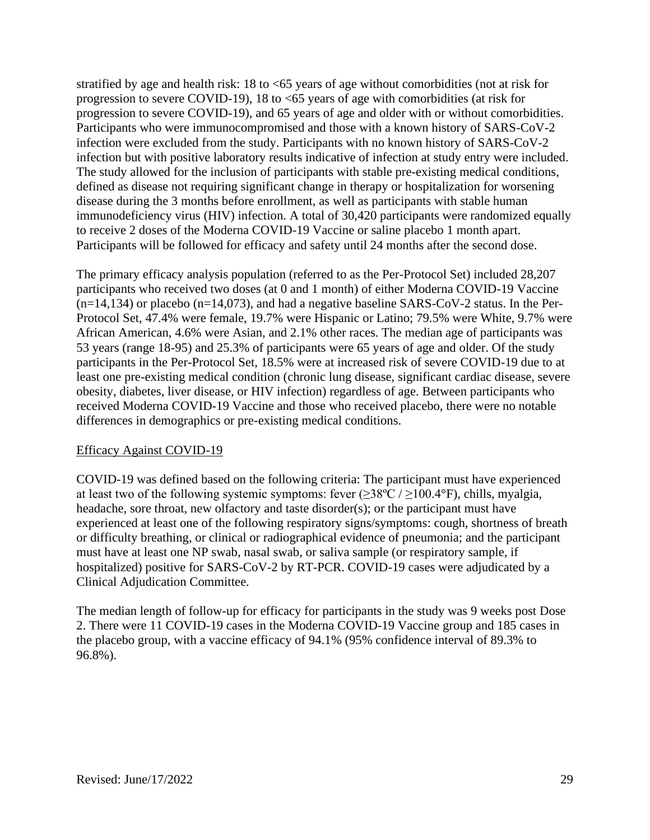stratified by age and health risk: 18 to <65 years of age without comorbidities (not at risk for progression to severe COVID-19), 18 to <65 years of age with comorbidities (at risk for progression to severe COVID-19), and 65 years of age and older with or without comorbidities. Participants who were immunocompromised and those with a known history of SARS-CoV-2 infection were excluded from the study. Participants with no known history of SARS-CoV-2 infection but with positive laboratory results indicative of infection at study entry were included. The study allowed for the inclusion of participants with stable pre-existing medical conditions, defined as disease not requiring significant change in therapy or hospitalization for worsening disease during the 3 months before enrollment, as well as participants with stable human immunodeficiency virus (HIV) infection. A total of 30,420 participants were randomized equally to receive 2 doses of the Moderna COVID-19 Vaccine or saline placebo 1 month apart. Participants will be followed for efficacy and safety until 24 months after the second dose.

The primary efficacy analysis population (referred to as the Per-Protocol Set) included 28,207 participants who received two doses (at 0 and 1 month) of either Moderna COVID-19 Vaccine  $(n=14,134)$  or placebo  $(n=14,073)$ , and had a negative baseline SARS-CoV-2 status. In the Per-Protocol Set, 47.4% were female, 19.7% were Hispanic or Latino; 79.5% were White, 9.7% were African American, 4.6% were Asian, and 2.1% other races. The median age of participants was 53 years (range 18-95) and 25.3% of participants were 65 years of age and older. Of the study participants in the Per-Protocol Set, 18.5% were at increased risk of severe COVID-19 due to at least one pre-existing medical condition (chronic lung disease, significant cardiac disease, severe obesity, diabetes, liver disease, or HIV infection) regardless of age. Between participants who received Moderna COVID-19 Vaccine and those who received placebo, there were no notable differences in demographics or pre-existing medical conditions.

### Efficacy Against COVID-19

COVID-19 was defined based on the following criteria: The participant must have experienced at least two of the following systemic symptoms: fever  $(\geq 38^{\circ}\text{C} / \geq 100.4^{\circ}\text{F})$ , chills, myalgia, headache, sore throat, new olfactory and taste disorder(s); or the participant must have experienced at least one of the following respiratory signs/symptoms: cough, shortness of breath or difficulty breathing, or clinical or radiographical evidence of pneumonia; and the participant must have at least one NP swab, nasal swab, or saliva sample (or respiratory sample, if hospitalized) positive for SARS-CoV-2 by RT-PCR. COVID-19 cases were adjudicated by a Clinical Adjudication Committee.

The median length of follow-up for efficacy for participants in the study was 9 weeks post Dose 2. There were 11 COVID-19 cases in the Moderna COVID-19 Vaccine group and 185 cases in the placebo group, with a vaccine efficacy of 94.1% (95% confidence interval of 89.3% to 96.8%).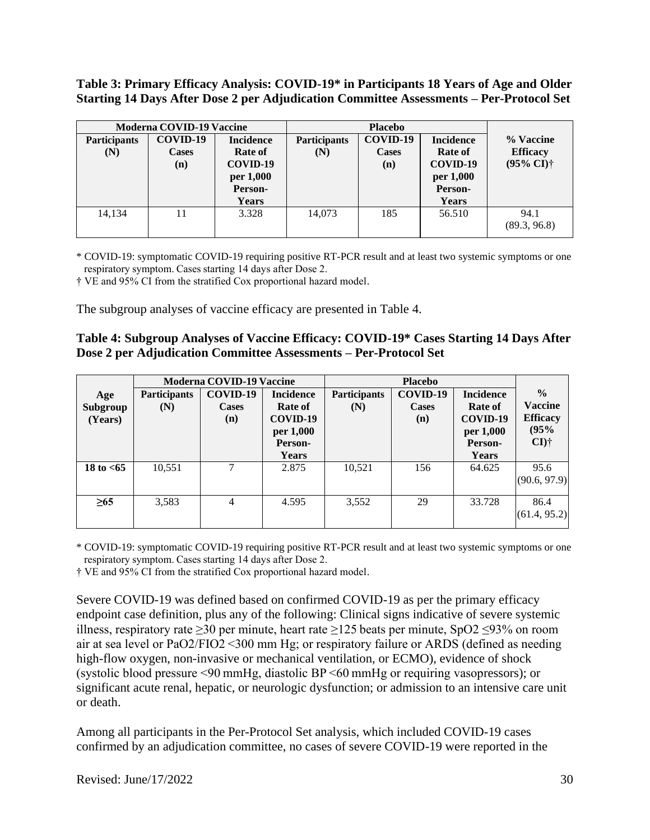**Table 3: Primary Efficacy Analysis: COVID-19\* in Participants 18 Years of Age and Older Starting 14 Days After Dose 2 per Adjudication Committee Assessments – Per-Protocol Set**

|                     | <b>Moderna COVID-19 Vaccine</b> |                  |                     | <b>Placebo</b> |                  |                            |
|---------------------|---------------------------------|------------------|---------------------|----------------|------------------|----------------------------|
| <b>Participants</b> | COVID-19                        | <b>Incidence</b> | <b>Participants</b> | COVID-19       | <b>Incidence</b> | % Vaccine                  |
| (N)                 | <b>Cases</b>                    | <b>Rate of</b>   | (N)                 | <b>Cases</b>   | Rate of          | <b>Efficacy</b>            |
|                     | (n)                             | COVID-19         |                     | (n)            | COVID-19         | $(95\% \text{ CI})\dagger$ |
|                     |                                 | per 1,000        |                     |                | per 1,000        |                            |
|                     |                                 | Person-          |                     |                | Person-          |                            |
|                     |                                 | Years            |                     |                | Years            |                            |
| 14,134              |                                 | 3.328            | 14,073              | 185            | 56.510           | 94.1                       |
|                     |                                 |                  |                     |                |                  | (89.3, 96.8)               |

\* COVID-19: symptomatic COVID-19 requiring positive RT-PCR result and at least two systemic symptoms or one respiratory symptom. Cases starting 14 days after Dose 2. 

† VE and 95% CI from the stratified Cox proportional hazard model.

The subgroup analyses of vaccine efficacy are presented in Table 4.

| Table 4: Subgroup Analyses of Vaccine Efficacy: COVID-19* Cases Starting 14 Days After |
|----------------------------------------------------------------------------------------|
| Dose 2 per Adjudication Committee Assessments – Per-Protocol Set                       |

|              | <b>Moderna COVID-19 Vaccine</b> |                |                  | <b>Placebo</b>      |              |                  |                 |
|--------------|---------------------------------|----------------|------------------|---------------------|--------------|------------------|-----------------|
| Age          | <b>Participants</b>             | COVID-19       | <b>Incidence</b> | <b>Participants</b> | COVID-19     | <b>Incidence</b> | $\frac{0}{0}$   |
| Subgroup     | (N)                             | <b>Cases</b>   | <b>Rate of</b>   | (N)                 | <b>Cases</b> | <b>Rate of</b>   | <b>Vaccine</b>  |
| (Years)      |                                 | (n)            | COVID-19         |                     | (n)          | COVID-19         | <b>Efficacy</b> |
|              |                                 |                | per 1,000        |                     |              | per 1,000        | (95%            |
|              |                                 |                | Person-          |                     |              | Person-          | $CI$ )†         |
|              |                                 |                | <b>Years</b>     |                     |              | Years            |                 |
| 18 to $< 65$ | 10,551                          | ⇁              | 2.875            | 10,521              | 156          | 64.625           | 95.6            |
|              |                                 |                |                  |                     |              |                  | (90.6, 97.9)    |
|              |                                 |                |                  |                     |              |                  |                 |
| $\geq 65$    | 3,583                           | $\overline{4}$ | 4.595            | 3,552               | 29           | 33.728           | 86.4            |
|              |                                 |                |                  |                     |              |                  | (61.4, 95.2)    |
|              |                                 |                |                  |                     |              |                  |                 |

\* COVID-19: symptomatic COVID-19 requiring positive RT-PCR result and at least two systemic symptoms or one respiratory symptom. Cases starting 14 days after Dose 2.

† VE and 95% CI from the stratified Cox proportional hazard model.

Severe COVID-19 was defined based on confirmed COVID-19 as per the primary efficacy endpoint case definition, plus any of the following: Clinical signs indicative of severe systemic illness, respiratory rate ≥30 per minute, heart rate ≥125 beats per minute, SpO2 ≤93% on room air at sea level or PaO2/FIO2 <300 mm Hg; or respiratory failure or ARDS (defined as needing high-flow oxygen, non-invasive or mechanical ventilation, or ECMO), evidence of shock (systolic blood pressure <90 mmHg, diastolic BP <60 mmHg or requiring vasopressors); or significant acute renal, hepatic, or neurologic dysfunction; or admission to an intensive care unit or death.

Among all participants in the Per-Protocol Set analysis, which included COVID-19 cases confirmed by an adjudication committee, no cases of severe COVID-19 were reported in the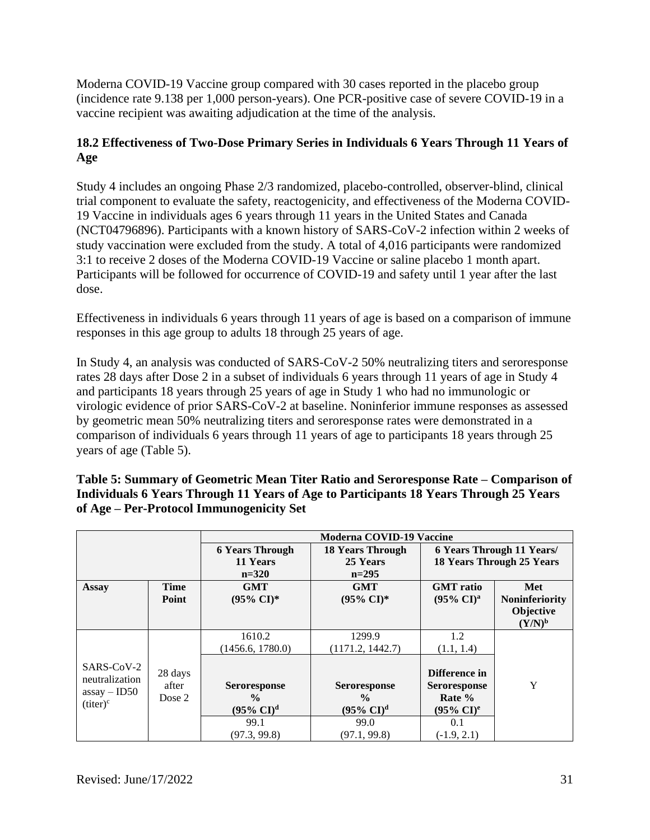Moderna COVID-19 Vaccine group compared with 30 cases reported in the placebo group (incidence rate 9.138 per 1,000 person-years). One PCR-positive case of severe COVID-19 in a vaccine recipient was awaiting adjudication at the time of the analysis.

# **18.2 Effectiveness of Two-Dose Primary Series in Individuals 6 Years Through 11 Years of Age**

Study 4 includes an ongoing Phase 2/3 randomized, placebo-controlled, observer-blind, clinical trial component to evaluate the safety, reactogenicity, and effectiveness of the Moderna COVID-19 Vaccine in individuals ages 6 years through 11 years in the United States and Canada (NCT04796896). Participants with a known history of SARS-CoV-2 infection within 2 weeks of study vaccination were excluded from the study. A total of 4,016 participants were randomized 3:1 to receive 2 doses of the Moderna COVID-19 Vaccine or saline placebo 1 month apart. Participants will be followed for occurrence of COVID-19 and safety until 1 year after the last dose.

Effectiveness in individuals 6 years through 11 years of age is based on a comparison of immune responses in this age group to adults 18 through 25 years of age.

In Study 4, an analysis was conducted of SARS-CoV-2 50% neutralizing titers and seroresponse rates 28 days after Dose 2 in a subset of individuals 6 years through 11 years of age in Study 4 and participants 18 years through 25 years of age in Study 1 who had no immunologic or virologic evidence of prior SARS-CoV-2 at baseline. Noninferior immune responses as assessed by geometric mean 50% neutralizing titers and seroresponse rates were demonstrated in a comparison of individuals 6 years through 11 years of age to participants 18 years through 25 years of age (Table 5).

| Table 5: Summary of Geometric Mean Titer Ratio and Seroresponse Rate – Comparison of  |
|---------------------------------------------------------------------------------------|
| Individuals 6 Years Through 11 Years of Age to Participants 18 Years Through 25 Years |
| of Age – Per-Protocol Immunogenicity Set                                              |

|                                                |                            | <b>Moderna COVID-19 Vaccine</b> |                             |                                                  |                       |  |
|------------------------------------------------|----------------------------|---------------------------------|-----------------------------|--------------------------------------------------|-----------------------|--|
|                                                |                            | <b>6 Years Through</b>          | <b>18 Years Through</b>     | <b>6 Years Through 11 Years/</b>                 |                       |  |
|                                                |                            | 11 Years                        | 25 Years                    | <b>18 Years Through 25 Years</b>                 |                       |  |
|                                                |                            | $n=320$                         | $n=295$                     |                                                  |                       |  |
| <b>Assay</b>                                   | <b>Time</b>                | <b>GMT</b>                      | <b>GMT</b>                  | <b>GMT</b> ratio                                 | Met                   |  |
|                                                | Point                      | $(95\% \text{ CI})^*$           | $(95\% \text{ CI})^*$       | $(95\% \text{ CI})^{\text{a}}$                   | <b>Noninferiority</b> |  |
|                                                |                            |                                 |                             |                                                  | <b>Objective</b>      |  |
|                                                |                            |                                 |                             |                                                  | $(Y/N)^b$             |  |
|                                                |                            | 1610.2                          | 1299.9                      | 1.2                                              |                       |  |
|                                                |                            | (1456.6, 1780.0)                | (1171.2, 1442.7)            | (1.1, 1.4)                                       |                       |  |
| SARS-CoV-2<br>neutralization<br>$assay - ID50$ | 28 days<br>after<br>Dose 2 | <b>Seroresponse</b><br>$\%$     | <b>Seroresponse</b><br>$\%$ | Difference in<br><b>Seroresponse</b><br>Rate $%$ | Y                     |  |
| $(titer)^c$                                    |                            | $(95\% \text{ CI})^d$           | $(95\% \text{ CI})^d$       | $(95\% \text{ CI})^e$                            |                       |  |
|                                                |                            | 99.1                            | 99.0                        | 0.1                                              |                       |  |
|                                                |                            | (97.3, 99.8)                    | (97.1, 99.8)                | $(-1.9, 2.1)$                                    |                       |  |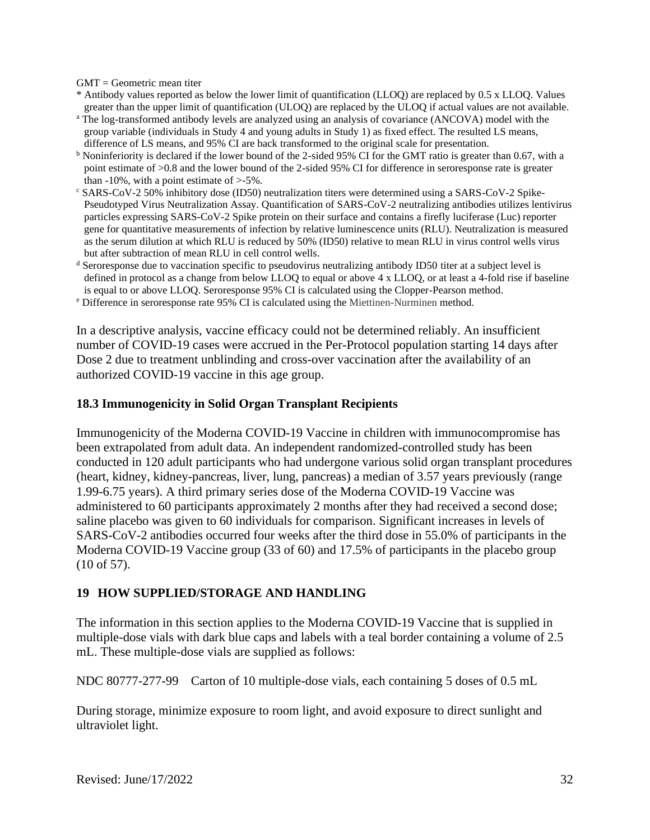GMT = Geometric mean titer

- \* Antibody values reported as below the lower limit of quantification (LLOQ) are replaced by 0.5 x LLOQ. Values greater than the upper limit of quantification (ULOQ) are replaced by the ULOQ if actual values are not available.
- <sup>a</sup> The log-transformed antibody levels are analyzed using an analysis of covariance (ANCOVA) model with the group variable (individuals in Study 4 and young adults in Study 1) as fixed effect. The resulted LS means, difference of LS means, and 95% CI are back transformed to the original scale for presentation.
- <sup>b</sup> Noninferiority is declared if the lower bound of the 2-sided 95% CI for the GMT ratio is greater than 0.67, with a point estimate of >0.8 and the lower bound of the 2-sided 95% CI for difference in seroresponse rate is greater than  $-10\%$ , with a point estimate of  $>5\%$ .
- <sup>c</sup> SARS-CoV-2 50% inhibitory dose (ID50) neutralization titers were determined using a SARS-CoV-2 Spike-Pseudotyped Virus Neutralization Assay. Quantification of SARS-CoV-2 neutralizing antibodies utilizes lentivirus particles expressing SARS-CoV-2 Spike protein on their surface and contains a firefly luciferase (Luc) reporter gene for quantitative measurements of infection by relative luminescence units (RLU). Neutralization is measured as the serum dilution at which RLU is reduced by 50% (ID50) relative to mean RLU in virus control wells virus but after subtraction of mean RLU in cell control wells.
- <sup>d</sup> Seroresponse due to vaccination specific to pseudovirus neutralizing antibody ID50 titer at a subject level is defined in protocol as a change from below LLOQ to equal or above 4 x LLOQ, or at least a 4-fold rise if baseline is equal to or above LLOQ. Seroresponse 95% CI is calculated using the Clopper-Pearson method.
- <sup>e</sup> Difference in seroresponse rate 95% CI is calculated using the Miettinen-Nurminen method.

In a descriptive analysis, vaccine efficacy could not be determined reliably. An insufficient number of COVID-19 cases were accrued in the Per-Protocol population starting 14 days after Dose 2 due to treatment unblinding and cross-over vaccination after the availability of an authorized COVID-19 vaccine in this age group.

#### **18.3 Immunogenicity in Solid Organ Transplant Recipients**

Immunogenicity of the Moderna COVID-19 Vaccine in children with immunocompromise has been extrapolated from adult data. An independent randomized-controlled study has been conducted in 120 adult participants who had undergone various solid organ transplant procedures (heart, kidney, kidney-pancreas, liver, lung, pancreas) a median of 3.57 years previously (range 1.99-6.75 years). A third primary series dose of the Moderna COVID-19 Vaccine was administered to 60 participants approximately 2 months after they had received a second dose; saline placebo was given to 60 individuals for comparison. Significant increases in levels of SARS-CoV-2 antibodies occurred four weeks after the third dose in 55.0% of participants in the Moderna COVID-19 Vaccine group (33 of 60) and 17.5% of participants in the placebo group (10 of 57).

#### **19 HOW SUPPLIED/STORAGE AND HANDLING**

The information in this section applies to the Moderna COVID-19 Vaccine that is supplied in multiple-dose vials with dark blue caps and labels with a teal border containing a volume of 2.5 mL. These multiple-dose vials are supplied as follows:

NDC 80777-277-99 Carton of 10 multiple-dose vials, each containing 5 doses of 0.5 mL

During storage, minimize exposure to room light, and avoid exposure to direct sunlight and ultraviolet light.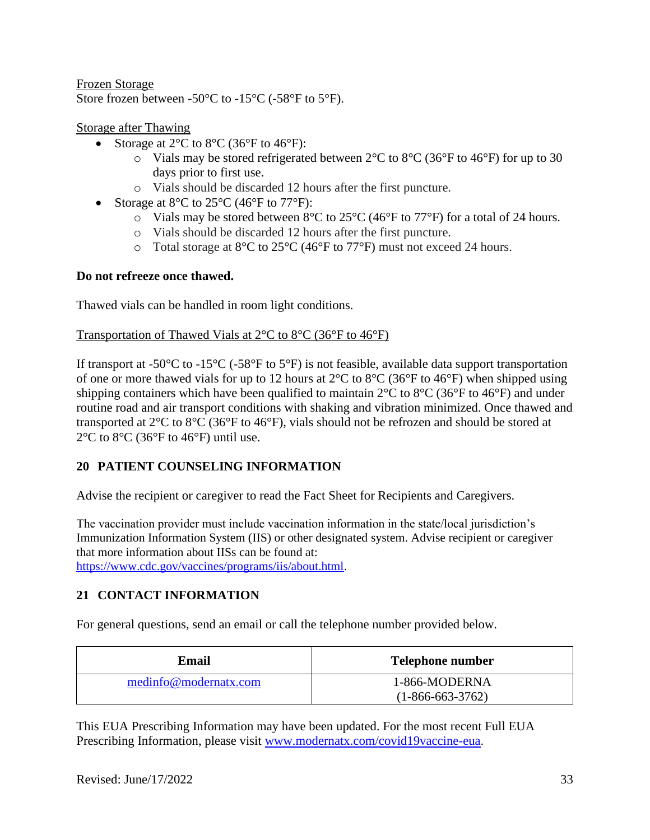### Frozen Storage Store frozen between -50°C to -15°C (-58°F to 5°F).

### Storage after Thawing

- Storage at  $2^{\circ}$ C to  $8^{\circ}$ C (36 $^{\circ}$ F to 46 $^{\circ}$ F):
	- $\circ$  Vials may be stored refrigerated between 2°C to 8°C (36°F to 46°F) for up to 30 days prior to first use.
	- o Vials should be discarded 12 hours after the first puncture.
- Storage at  $8^{\circ}$ C to  $25^{\circ}$ C (46 $^{\circ}$ F to  $77^{\circ}$ F):
	- $\circ$  Vials may be stored between 8°C to 25°C (46°F to 77°F) for a total of 24 hours.
	- o Vials should be discarded 12 hours after the first puncture.
	- o Total storage at 8°C to 25°C (46°F to 77°F) must not exceed 24 hours.

### **Do not refreeze once thawed.**

Thawed vials can be handled in room light conditions.

### Transportation of Thawed Vials at 2°C to 8°C (36°F to 46°F)

If transport at -50 $^{\circ}$ C to -15 $^{\circ}$ C (-58 $^{\circ}$ F to 5 $^{\circ}$ F) is not feasible, available data support transportation of one or more thawed vials for up to 12 hours at  $2^{\circ}$ C to  $8^{\circ}$ C (36°F to 46°F) when shipped using shipping containers which have been qualified to maintain  $2^{\circ}$ C to  $8^{\circ}$ C (36°F to 46°F) and under routine road and air transport conditions with shaking and vibration minimized. Once thawed and transported at 2°C to 8°C (36°F to 46°F), vials should not be refrozen and should be stored at  $2^{\circ}$ C to  $8^{\circ}$ C (36 $^{\circ}$ F to 46 $^{\circ}$ F) until use.

# **20 PATIENT COUNSELING INFORMATION**

Advise the recipient or caregiver to read the Fact Sheet for Recipients and Caregivers.

The vaccination provider must include vaccination information in the state/local jurisdiction's Immunization Information System (IIS) or other designated system. Advise recipient or caregiver that more information about IISs can be found at:

https://www.cdc.gov/vaccines/programs/iis/about.html.

# **21 CONTACT INFORMATION**

For general questions, send an email or call the telephone number provided below.

| Email                 | Telephone number   |  |
|-----------------------|--------------------|--|
| medinfo@modernatx.com | 1-866-MODERNA      |  |
|                       | $(1-866-663-3762)$ |  |

This EUA Prescribing Information may have been updated. For the most recent Full EUA Prescribing Information, please visit www.modernatx.com/covid19vaccine-eua.